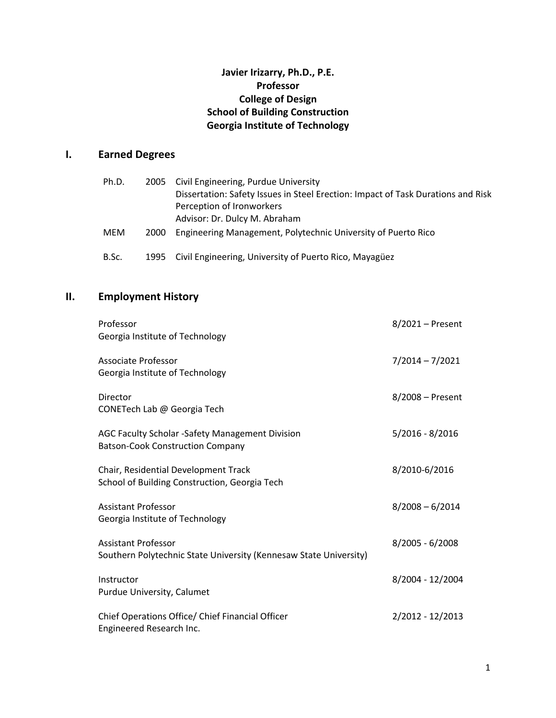## **Javier Irizarry, Ph.D., P.E. Professor College of Design School of Building Construction Georgia Institute of Technology**

## **I. Earned Degrees**

| Ph.D.      |      | 2005 Civil Engineering, Purdue University                                        |  |  |  |
|------------|------|----------------------------------------------------------------------------------|--|--|--|
|            |      | Dissertation: Safety Issues in Steel Erection: Impact of Task Durations and Risk |  |  |  |
|            |      | Perception of Ironworkers                                                        |  |  |  |
|            |      | Advisor: Dr. Dulcy M. Abraham                                                    |  |  |  |
| <b>MEM</b> | 2000 | Engineering Management, Polytechnic University of Puerto Rico                    |  |  |  |
| B.Sc.      | 1995 | Civil Engineering, University of Puerto Rico, Mayagüez                           |  |  |  |

# **II. Employment History**

| Professor<br>Georgia Institute of Technology                                                    | 8/2021 - Present  |
|-------------------------------------------------------------------------------------------------|-------------------|
| Associate Professor<br>Georgia Institute of Technology                                          | $7/2014 - 7/2021$ |
| Director<br>CONETech Lab @ Georgia Tech                                                         | 8/2008 - Present  |
| AGC Faculty Scholar -Safety Management Division<br><b>Batson-Cook Construction Company</b>      | $5/2016 - 8/2016$ |
| Chair, Residential Development Track<br>School of Building Construction, Georgia Tech           | 8/2010-6/2016     |
| <b>Assistant Professor</b><br>Georgia Institute of Technology                                   | $8/2008 - 6/2014$ |
| <b>Assistant Professor</b><br>Southern Polytechnic State University (Kennesaw State University) | $8/2005 - 6/2008$ |
| Instructor<br>Purdue University, Calumet                                                        | 8/2004 - 12/2004  |
| Chief Operations Office/ Chief Financial Officer<br>Engineered Research Inc.                    | 2/2012 - 12/2013  |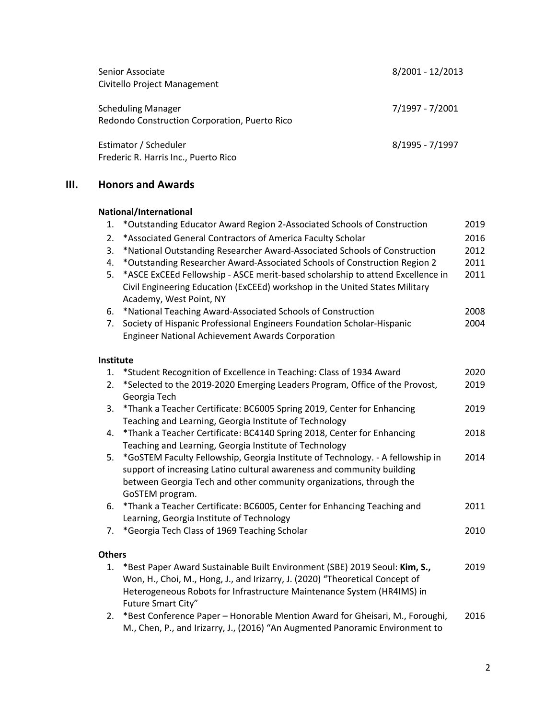| Senior Associate<br>Civitello Project Management                           | 8/2001 - 12/2013 |
|----------------------------------------------------------------------------|------------------|
| <b>Scheduling Manager</b><br>Redondo Construction Corporation, Puerto Rico | 7/1997 - 7/2001  |
| Estimator / Scheduler<br>Frederic R. Harris Inc., Puerto Rico              | 8/1995 - 7/1997  |

# **III. Honors and Awards**

|                  | National/International                                                                                                                                                                                                                                     |      |
|------------------|------------------------------------------------------------------------------------------------------------------------------------------------------------------------------------------------------------------------------------------------------------|------|
| 1.               | *Outstanding Educator Award Region 2-Associated Schools of Construction                                                                                                                                                                                    | 2019 |
| 2.               | *Associated General Contractors of America Faculty Scholar                                                                                                                                                                                                 | 2016 |
| 3.               | *National Outstanding Researcher Award-Associated Schools of Construction                                                                                                                                                                                  | 2012 |
| 4.               | *Outstanding Researcher Award-Associated Schools of Construction Region 2                                                                                                                                                                                  | 2011 |
| 5.               | *ASCE ExCEEd Fellowship - ASCE merit-based scholarship to attend Excellence in<br>Civil Engineering Education (ExCEEd) workshop in the United States Military<br>Academy, West Point, NY                                                                   | 2011 |
| 6.               | *National Teaching Award-Associated Schools of Construction                                                                                                                                                                                                | 2008 |
| 7.               | Society of Hispanic Professional Engineers Foundation Scholar-Hispanic                                                                                                                                                                                     | 2004 |
|                  | <b>Engineer National Achievement Awards Corporation</b>                                                                                                                                                                                                    |      |
| <b>Institute</b> |                                                                                                                                                                                                                                                            |      |
| 1.               | *Student Recognition of Excellence in Teaching: Class of 1934 Award                                                                                                                                                                                        | 2020 |
| 2.               | *Selected to the 2019-2020 Emerging Leaders Program, Office of the Provost,<br>Georgia Tech                                                                                                                                                                | 2019 |
| 3.               | *Thank a Teacher Certificate: BC6005 Spring 2019, Center for Enhancing<br>Teaching and Learning, Georgia Institute of Technology                                                                                                                           | 2019 |
| 4.               | *Thank a Teacher Certificate: BC4140 Spring 2018, Center for Enhancing<br>Teaching and Learning, Georgia Institute of Technology                                                                                                                           | 2018 |
| 5.               | *GoSTEM Faculty Fellowship, Georgia Institute of Technology. - A fellowship in<br>support of increasing Latino cultural awareness and community building<br>between Georgia Tech and other community organizations, through the<br>GoSTEM program.         | 2014 |
| 6.               | *Thank a Teacher Certificate: BC6005, Center for Enhancing Teaching and                                                                                                                                                                                    | 2011 |
|                  | Learning, Georgia Institute of Technology                                                                                                                                                                                                                  |      |
| 7.               | *Georgia Tech Class of 1969 Teaching Scholar                                                                                                                                                                                                               | 2010 |
| <b>Others</b>    |                                                                                                                                                                                                                                                            |      |
| 1.               | *Best Paper Award Sustainable Built Environment (SBE) 2019 Seoul: Kim, S.,<br>Won, H., Choi, M., Hong, J., and Irizarry, J. (2020) "Theoretical Concept of<br>Heterogeneous Robots for Infrastructure Maintenance System (HR4IMS) in<br>Future Smart City" | 2019 |
| 2.               | *Best Conference Paper - Honorable Mention Award for Gheisari, M., Foroughi,                                                                                                                                                                               | 2016 |

M., Chen, P., and Irizarry, J., (2016) "An Augmented Panoramic Environment to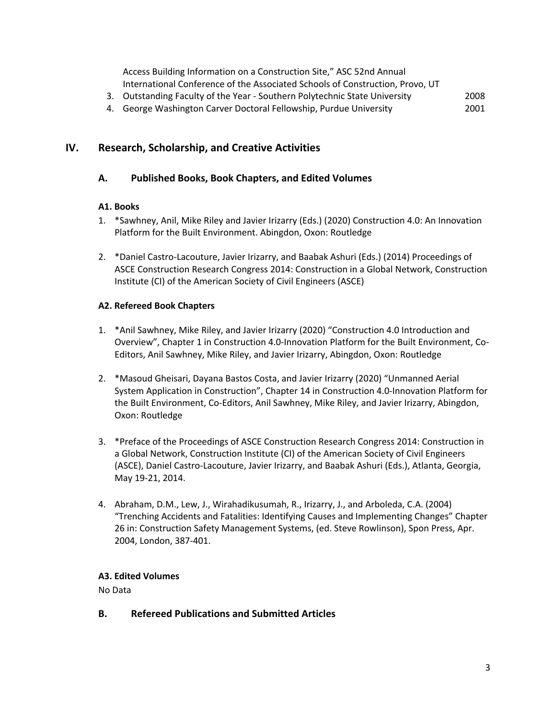Access Building Information on a Construction Site," ASC 52nd Annual International Conference of the Associated Schools of Construction, Provo, UT

- 3. Outstanding Faculty of the Year Southern Polytechnic State University 2008
- 4. George Washington Carver Doctoral Fellowship, Purdue University 2001

## **IV. Research, Scholarship, and Creative Activities**

#### **A. Published Books, Book Chapters, and Edited Volumes**

#### **A1. Books**

- 1. \*Sawhney, Anil, Mike Riley and Javier Irizarry (Eds.) (2020) Construction 4.0: An Innovation Platform for the Built Environment. Abingdon, Oxon: Routledge
- 2. \*Daniel Castro-Lacouture, Javier Irizarry, and Baabak Ashuri (Eds.) (2014) Proceedings of ASCE Construction Research Congress 2014: Construction in a Global Network, Construction Institute (CI) of the American Society of Civil Engineers (ASCE)

#### **A2. Refereed Book Chapters**

- 1. \*Anil Sawhney, Mike Riley, and Javier Irizarry (2020) "Construction 4.0 Introduction and Overview", Chapter 1 in Construction 4.0-Innovation Platform for the Built Environment, Co-Editors, Anil Sawhney, Mike Riley, and Javier Irizarry, Abingdon, Oxon: Routledge
- 2. \*Masoud Gheisari, Dayana Bastos Costa, and Javier Irizarry (2020) "Unmanned Aerial System Application in Construction", Chapter 14 in Construction 4.0-Innovation Platform for the Built Environment, Co-Editors, Anil Sawhney, Mike Riley, and Javier Irizarry, Abingdon, Oxon: Routledge
- 3. \*Preface of the Proceedings of ASCE Construction Research Congress 2014: Construction in a Global Network, Construction Institute (CI) of the American Society of Civil Engineers (ASCE), Daniel Castro-Lacouture, Javier Irizarry, and Baabak Ashuri (Eds.), Atlanta, Georgia, May 19-21, 2014.
- 4. Abraham, D.M., Lew, J., Wirahadikusumah, R., Irizarry, J., and Arboleda, C.A. (2004) "Trenching Accidents and Fatalities: Identifying Causes and Implementing Changes" Chapter 26 in: Construction Safety Management Systems, (ed. Steve Rowlinson), Spon Press, Apr. 2004, London, 387-401.

## **A3. Edited Volumes**

No Data

**B. Refereed Publications and Submitted Articles**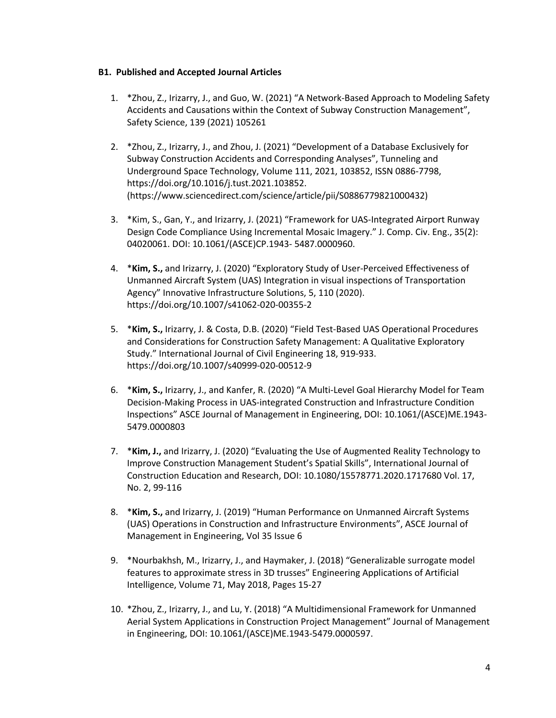#### **B1. Published and Accepted Journal Articles**

- 1. \*Zhou, Z., Irizarry, J., and Guo, W. (2021) "A Network-Based Approach to Modeling Safety Accidents and Causations within the Context of Subway Construction Management", Safety Science, 139 (2021) 105261
- 2. \*Zhou, Z., Irizarry, J., and Zhou, J. (2021) "Development of a Database Exclusively for Subway Construction Accidents and Corresponding Analyses", Tunneling and Underground Space Technology, Volume 111, 2021, 103852, ISSN 0886-7798, https://doi.org/10.1016/j.tust.2021.103852. (https://www.sciencedirect.com/science/article/pii/S0886779821000432)
- 3. \*Kim, S., Gan, Y., and Irizarry, J. (2021) "Framework for UAS-Integrated Airport Runway Design Code Compliance Using Incremental Mosaic Imagery." J. Comp. Civ. Eng., 35(2): 04020061. DOI: 10.1061/(ASCE)CP.1943- 5487.0000960.
- 4. \***Kim, S.,** and Irizarry, J. (2020) "Exploratory Study of User-Perceived Effectiveness of Unmanned Aircraft System (UAS) Integration in visual inspections of Transportation Agency" Innovative Infrastructure Solutions, 5, 110 (2020). https://doi.org/10.1007/s41062-020-00355-2
- 5. \***Kim, S.,** Irizarry, J. & Costa, D.B. (2020) "Field Test-Based UAS Operational Procedures and Considerations for Construction Safety Management: A Qualitative Exploratory Study." International Journal of Civil Engineering 18, 919-933. https://doi.org/10.1007/s40999-020-00512-9
- 6. \***Kim, S.,** Irizarry, J., and Kanfer, R. (2020) "A Multi-Level Goal Hierarchy Model for Team Decision-Making Process in UAS-integrated Construction and Infrastructure Condition Inspections" ASCE Journal of Management in Engineering, DOI: 10.1061/(ASCE)ME.1943- 5479.0000803
- 7. \***Kim, J.,** and Irizarry, J. (2020) "Evaluating the Use of Augmented Reality Technology to Improve Construction Management Student's Spatial Skills", International Journal of Construction Education and Research, DOI: 10.1080/15578771.2020.1717680 Vol. 17, No. 2, 99-116
- 8. \***Kim, S.,** and Irizarry, J. (2019) "Human Performance on Unmanned Aircraft Systems (UAS) Operations in Construction and Infrastructure Environments", ASCE Journal of Management in Engineering, Vol 35 Issue 6
- 9. \*Nourbakhsh, M., Irizarry, J., and Haymaker, J. (2018) "Generalizable surrogate model features to approximate stress in 3D trusses" Engineering Applications of Artificial Intelligence, Volume 71, May 2018, Pages 15-27
- 10. \*Zhou, Z., Irizarry, J., and Lu, Y. (2018) "A Multidimensional Framework for Unmanned Aerial System Applications in Construction Project Management" Journal of Management in Engineering, DOI: 10.1061/(ASCE)ME.1943-5479.0000597.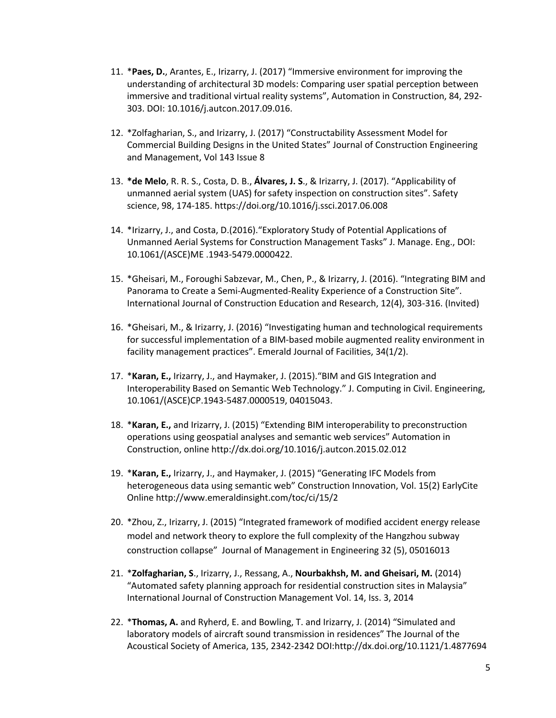- 11. \***Paes, D.**, Arantes, E., Irizarry, J. (2017) "Immersive environment for improving the understanding of architectural 3D models: Comparing user spatial perception between immersive and traditional virtual reality systems", Automation in Construction, 84, 292- 303. DOI: 10.1016/j.autcon.2017.09.016.
- 12. \*Zolfagharian, S., and Irizarry, J. (2017) "Constructability Assessment Model for Commercial Building Designs in the United States" Journal of Construction Engineering and Management, Vol 143 Issue 8
- 13. **\*de Melo**, R. R. S., Costa, D. B., **Álvares, J. S**., & Irizarry, J. (2017). "Applicability of unmanned aerial system (UAS) for safety inspection on construction sites". Safety science, 98, 174-185. https://doi.org/10.1016/j.ssci.2017.06.008
- 14. \*Irizarry, J., and Costa, D.(2016)."Exploratory Study of Potential Applications of Unmanned Aerial Systems for Construction Management Tasks" J. Manage. Eng., DOI: 10.1061/(ASCE)ME .1943-5479.0000422.
- 15. \*Gheisari, M., Foroughi Sabzevar, M., Chen, P., & Irizarry, J. (2016). "Integrating BIM and Panorama to Create a Semi-Augmented-Reality Experience of a Construction Site". International Journal of Construction Education and Research, 12(4), 303-316. (Invited)
- 16. \*Gheisari, M., & Irizarry, J. (2016) "Investigating human and technological requirements for successful implementation of a BIM-based mobile augmented reality environment in facility management practices". Emerald Journal of Facilities, 34(1/2).
- 17. \***Karan, E.,** Irizarry, J., and Haymaker, J. (2015)."BIM and GIS Integration and Interoperability Based on Semantic Web Technology." J. Computing in Civil. Engineering, 10.1061/(ASCE)CP.1943-5487.0000519, 04015043.
- 18. \***Karan, E.,** and Irizarry, J. (2015) "Extending BIM interoperability to preconstruction operations using geospatial analyses and semantic web services" Automation in Construction, online http://dx.doi.org/10.1016/j.autcon.2015.02.012
- 19. \***Karan, E.,** Irizarry, J., and Haymaker, J. (2015) "Generating IFC Models from heterogeneous data using semantic web" Construction Innovation, Vol. 15(2) EarlyCite Online http://www.emeraldinsight.com/toc/ci/15/2
- 20. \*Zhou, Z., Irizarry, J. (2015) "Integrated framework of modified accident energy release model and network theory to explore the full complexity of the Hangzhou subway construction collapse" Journal of Management in Engineering 32 (5), 05016013
- 21. \***Zolfagharian, S**., Irizarry, J., Ressang, A., **Nourbakhsh, M. and Gheisari, M.** (2014) "Automated safety planning approach for residential construction sites in Malaysia" International Journal of Construction Management Vol. 14, Iss. 3, 2014
- 22. \***Thomas, A.** and Ryherd, E. and Bowling, T. and Irizarry, J. (2014) "Simulated and laboratory models of aircraft sound transmission in residences" The Journal of the Acoustical Society of America, 135, 2342-2342 DOI:http://dx.doi.org/10.1121/1.4877694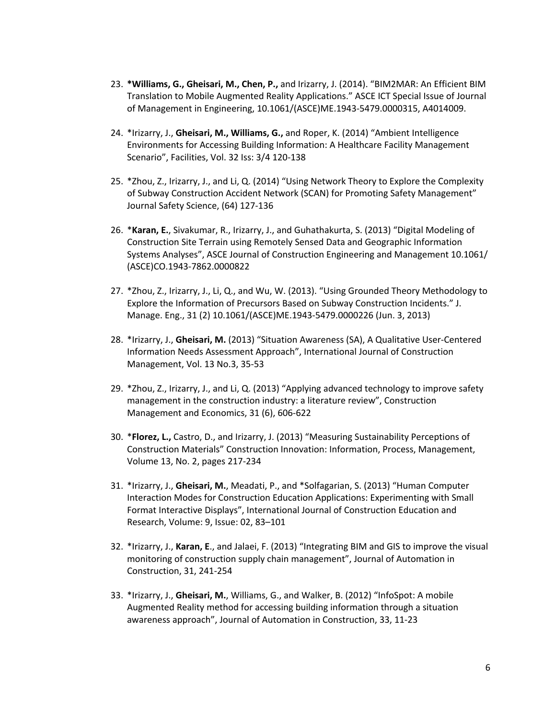- 23. **\*Williams, G., Gheisari, M., Chen, P.,** and Irizarry, J. (2014). "BIM2MAR: An Efficient BIM Translation to Mobile Augmented Reality Applications." ASCE ICT Special Issue of Journal of Management in Engineering, 10.1061/(ASCE)ME.1943-5479.0000315, A4014009.
- 24. \*Irizarry, J., **Gheisari, M., Williams, G.,** and Roper, K. (2014) "Ambient Intelligence Environments for Accessing Building Information: A Healthcare Facility Management Scenario", Facilities, Vol. 32 Iss: 3/4 120-138
- 25. \*Zhou, Z., Irizarry, J., and Li, Q. (2014) "Using Network Theory to Explore the Complexity of Subway Construction Accident Network (SCAN) for Promoting Safety Management" Journal Safety Science, (64) 127-136
- 26. \***Karan, E.**, Sivakumar, R., Irizarry, J., and Guhathakurta, S. (2013) "Digital Modeling of Construction Site Terrain using Remotely Sensed Data and Geographic Information Systems Analyses", ASCE Journal of Construction Engineering and Management 10.1061/ (ASCE)CO.1943-7862.0000822
- 27. \*Zhou, Z., Irizarry, J., Li, Q., and Wu, W. (2013). "Using Grounded Theory Methodology to Explore the Information of Precursors Based on Subway Construction Incidents." J. Manage. Eng., 31 (2) 10.1061/(ASCE)ME.1943-5479.0000226 (Jun. 3, 2013)
- 28. \*Irizarry, J., **Gheisari, M.** (2013) "Situation Awareness (SA), A Qualitative User-Centered Information Needs Assessment Approach", International Journal of Construction Management, Vol. 13 No.3, 35-53
- 29. \*Zhou, Z., Irizarry, J., and Li, Q. (2013) "Applying advanced technology to improve safety management in the construction industry: a literature review", Construction Management and Economics, 31 (6), 606-622
- 30. \***Florez, L.,** Castro, D., and Irizarry, J. (2013) "Measuring Sustainability Perceptions of Construction Materials" Construction Innovation: Information, Process, Management, Volume 13, No. 2, pages 217-234
- 31. \*Irizarry, J., **Gheisari, M.**, Meadati, P., and \*Solfagarian, S. (2013) "Human Computer Interaction Modes for Construction Education Applications: Experimenting with Small Format Interactive Displays", International Journal of Construction Education and Research, Volume: 9, Issue: 02, 83–101
- 32. \*Irizarry, J., **Karan, E**., and Jalaei, F. (2013) "Integrating BIM and GIS to improve the visual monitoring of construction supply chain management", Journal of Automation in Construction, 31, 241-254
- 33. \*Irizarry, J., **Gheisari, M.**, Williams, G., and Walker, B. (2012) "InfoSpot: A mobile Augmented Reality method for accessing building information through a situation awareness approach", Journal of Automation in Construction, 33, 11-23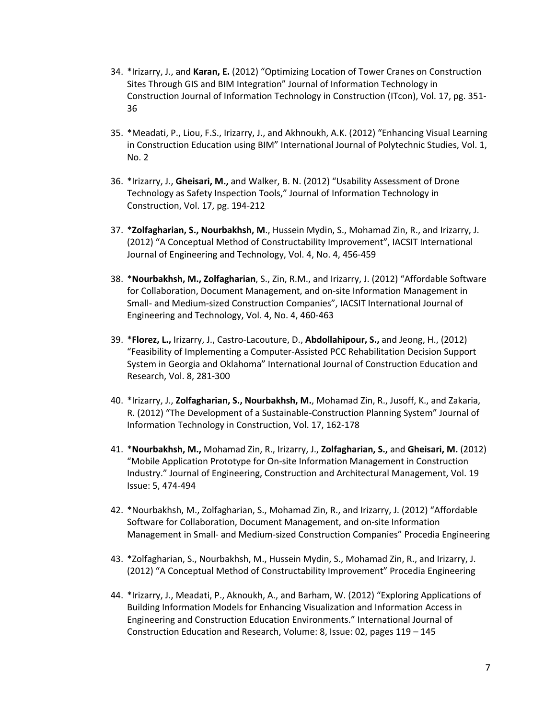- 34. \*Irizarry, J., and **Karan, E.** (2012) "Optimizing Location of Tower Cranes on Construction Sites Through GIS and BIM Integration" Journal of Information Technology in Construction Journal of Information Technology in Construction (ITcon), Vol. 17, pg. 351- 36
- 35. \*Meadati, P., Liou, F.S., Irizarry, J., and Akhnoukh, A.K. (2012) "Enhancing Visual Learning in Construction Education using BIM" International Journal of Polytechnic Studies, Vol. 1, No. 2
- 36. \*Irizarry, J., **Gheisari, M.,** and Walker, B. N. (2012) "Usability Assessment of Drone Technology as Safety Inspection Tools," Journal of Information Technology in Construction, Vol. 17, pg. 194-212
- 37. \***Zolfagharian, S., Nourbakhsh, M**., Hussein Mydin, S., Mohamad Zin, R., and Irizarry, J. (2012) "A Conceptual Method of Constructability Improvement", IACSIT International Journal of Engineering and Technology, Vol. 4, No. 4, 456-459
- 38. \***Nourbakhsh, M., Zolfagharian**, S., Zin, R.M., and Irizarry, J. (2012) "Affordable Software for Collaboration, Document Management, and on-site Information Management in Small- and Medium-sized Construction Companies", IACSIT International Journal of Engineering and Technology, Vol. 4, No. 4, 460-463
- 39. \***Florez, L.,** Irizarry, J., Castro-Lacouture, D., **Abdollahipour, S.,** and Jeong, H., (2012) "Feasibility of Implementing a Computer-Assisted PCC Rehabilitation Decision Support System in Georgia and Oklahoma" International Journal of Construction Education and Research, Vol. 8, 281-300
- 40. \*Irizarry, J., **Zolfagharian, S., Nourbakhsh, M.**, Mohamad Zin, R., Jusoff, K., and Zakaria, R. (2012) "The Development of a Sustainable-Construction Planning System" Journal of Information Technology in Construction, Vol. 17, 162-178
- 41. \***Nourbakhsh, M.,** Mohamad Zin, R., Irizarry, J., **Zolfagharian, S.,** and **Gheisari, M.** (2012) "Mobile Application Prototype for On-site Information Management in Construction Industry." Journal of Engineering, Construction and Architectural Management, Vol. 19 Issue: 5, 474-494
- 42. \*Nourbakhsh, M., Zolfagharian, S., Mohamad Zin, R., and Irizarry, J. (2012) "Affordable Software for Collaboration, Document Management, and on-site Information Management in Small- and Medium-sized Construction Companies" Procedia Engineering
- 43. \*Zolfagharian, S., Nourbakhsh, M., Hussein Mydin, S., Mohamad Zin, R., and Irizarry, J. (2012) "A Conceptual Method of Constructability Improvement" Procedia Engineering
- 44. \*Irizarry, J., Meadati, P., Aknoukh, A., and Barham, W. (2012) "Exploring Applications of Building Information Models for Enhancing Visualization and Information Access in Engineering and Construction Education Environments." International Journal of Construction Education and Research, Volume: 8, Issue: 02, pages 119 – 145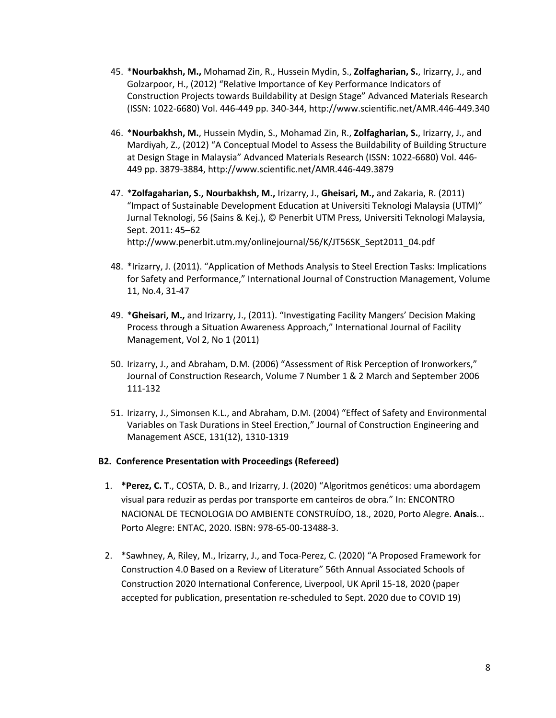- 45. \***Nourbakhsh, M.,** Mohamad Zin, R., Hussein Mydin, S., **Zolfagharian, S.**, Irizarry, J., and Golzarpoor, H., (2012) "Relative Importance of Key Performance Indicators of Construction Projects towards Buildability at Design Stage" Advanced Materials Research (ISSN: 1022-6680) Vol. 446-449 pp. 340-344, http://www.scientific.net/AMR.446-449.340
- 46. \***Nourbakhsh, M.**, Hussein Mydin, S., Mohamad Zin, R., **Zolfagharian, S.**, Irizarry, J., and Mardiyah, Z., (2012) "A Conceptual Model to Assess the Buildability of Building Structure at Design Stage in Malaysia" Advanced Materials Research (ISSN: 1022-6680) Vol. 446- 449 pp. 3879-3884, http://www.scientific.net/AMR.446-449.3879
- 47. \***Zolfagaharian, S., Nourbakhsh, M.,** Irizarry, J., **Gheisari, M.,** and Zakaria, R. (2011) "Impact of Sustainable Development Education at Universiti Teknologi Malaysia (UTM)" Jurnal Teknologi, 56 (Sains & Kej.), © Penerbit UTM Press, Universiti Teknologi Malaysia, Sept. 2011: 45–62 http://www.penerbit.utm.my/onlinejournal/56/K/JT56SK\_Sept2011\_04.pdf
- 48. \*Irizarry, J. (2011). "Application of Methods Analysis to Steel Erection Tasks: Implications for Safety and Performance," International Journal of Construction Management, Volume 11, No.4, 31-47
- 49. \***Gheisari, M.,** and Irizarry, J., (2011). "Investigating Facility Mangers' Decision Making Process through a Situation Awareness Approach," International Journal of Facility Management, Vol 2, No 1 (2011)
- 50. Irizarry, J., and Abraham, D.M. (2006) "Assessment of Risk Perception of Ironworkers," Journal of Construction Research, Volume 7 Number 1 & 2 March and September 2006 111-132
- 51. Irizarry, J., Simonsen K.L., and Abraham, D.M. (2004) "Effect of Safety and Environmental Variables on Task Durations in Steel Erection," Journal of Construction Engineering and Management ASCE, 131(12), 1310-1319

#### **B2. Conference Presentation with Proceedings (Refereed)**

- 1. **\*Perez, C. T**., COSTA, D. B., and Irizarry, J. (2020) "Algoritmos genéticos: uma abordagem visual para reduzir as perdas por transporte em canteiros de obra." In: ENCONTRO NACIONAL DE TECNOLOGIA DO AMBIENTE CONSTRUÍDO, 18., 2020, Porto Alegre. **Anais**... Porto Alegre: ENTAC, 2020. ISBN: 978-65-00-13488-3.
- 2. \*Sawhney, A, Riley, M., Irizarry, J., and Toca-Perez, C. (2020) "A Proposed Framework for Construction 4.0 Based on a Review of Literature" 56th Annual Associated Schools of Construction 2020 International Conference, Liverpool, UK April 15-18, 2020 (paper accepted for publication, presentation re-scheduled to Sept. 2020 due to COVID 19)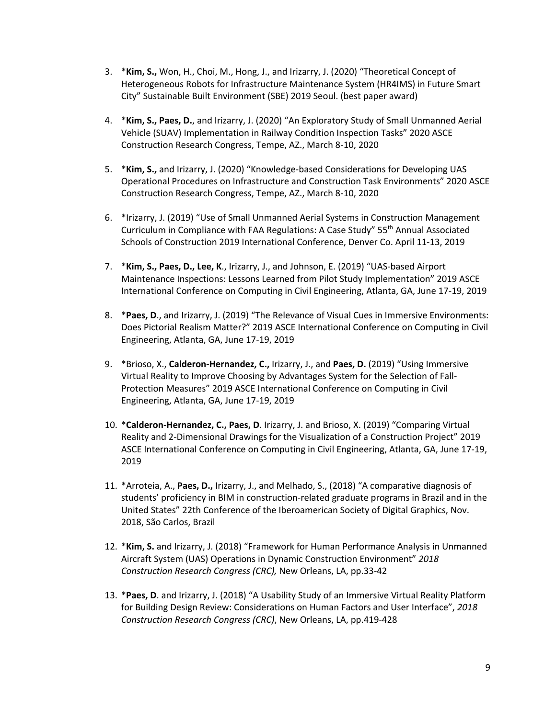- 3. \***Kim, S.,** Won, H., Choi, M., Hong, J., and Irizarry, J. (2020) "Theoretical Concept of Heterogeneous Robots for Infrastructure Maintenance System (HR4IMS) in Future Smart City" Sustainable Built Environment (SBE) 2019 Seoul. (best paper award)
- 4. \***Kim, S., Paes, D.**, and Irizarry, J. (2020) "An Exploratory Study of Small Unmanned Aerial Vehicle (SUAV) Implementation in Railway Condition Inspection Tasks" 2020 ASCE Construction Research Congress, Tempe, AZ., March 8-10, 2020
- 5. \***Kim, S.,** and Irizarry, J. (2020) "Knowledge-based Considerations for Developing UAS Operational Procedures on Infrastructure and Construction Task Environments" 2020 ASCE Construction Research Congress, Tempe, AZ., March 8-10, 2020
- 6. \*Irizarry, J. (2019) "Use of Small Unmanned Aerial Systems in Construction Management Curriculum in Compliance with FAA Regulations: A Case Study" 55th Annual Associated Schools of Construction 2019 International Conference, Denver Co. April 11-13, 2019
- 7. \***Kim, S., Paes, D., Lee, K**., Irizarry, J., and Johnson, E. (2019) "UAS-based Airport Maintenance Inspections: Lessons Learned from Pilot Study Implementation" 2019 ASCE International Conference on Computing in Civil Engineering, Atlanta, GA, June 17-19, 2019
- 8. \***Paes, D**., and Irizarry, J. (2019) "The Relevance of Visual Cues in Immersive Environments: Does Pictorial Realism Matter?" 2019 ASCE International Conference on Computing in Civil Engineering, Atlanta, GA, June 17-19, 2019
- 9. \*Brioso, X., **Calderon-Hernandez, C.,** Irizarry, J., and **Paes, D.** (2019) "Using Immersive Virtual Reality to Improve Choosing by Advantages System for the Selection of Fall-Protection Measures" 2019 ASCE International Conference on Computing in Civil Engineering, Atlanta, GA, June 17-19, 2019
- 10. \***Calderon-Hernandez, C., Paes, D**. Irizarry, J. and Brioso, X. (2019) "Comparing Virtual Reality and 2-Dimensional Drawings for the Visualization of a Construction Project" 2019 ASCE International Conference on Computing in Civil Engineering, Atlanta, GA, June 17-19, 2019
- 11. \*Arroteia, A., **Paes, D.,** Irizarry, J., and Melhado, S., (2018) "A comparative diagnosis of students' proficiency in BIM in construction-related graduate programs in Brazil and in the United States" 22th Conference of the Iberoamerican Society of Digital Graphics, Nov. 2018, São Carlos, Brazil
- 12. \***Kim, S.** and Irizarry, J. (2018) "Framework for Human Performance Analysis in Unmanned Aircraft System (UAS) Operations in Dynamic Construction Environment" *2018 Construction Research Congress (CRC),* New Orleans, LA, pp.33-42
- 13. \***Paes, D**. and Irizarry, J. (2018) "A Usability Study of an Immersive Virtual Reality Platform for Building Design Review: Considerations on Human Factors and User Interface", *2018 Construction Research Congress (CRC)*, New Orleans, LA, pp.419-428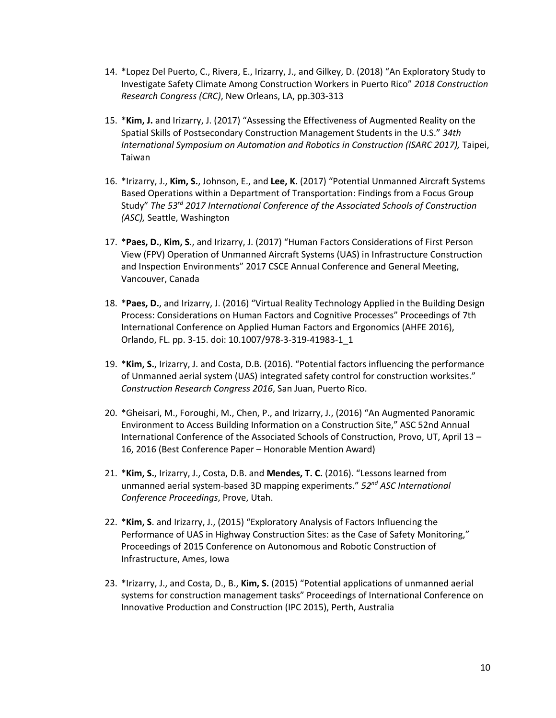- 14. \*Lopez Del Puerto, C., Rivera, E., Irizarry, J., and Gilkey, D. (2018) "An Exploratory Study to Investigate Safety Climate Among Construction Workers in Puerto Rico" *2018 Construction Research Congress (CRC)*, New Orleans, LA, pp.303-313
- 15. \***Kim, J.** and Irizarry, J. (2017) "Assessing the Effectiveness of Augmented Reality on the Spatial Skills of Postsecondary Construction Management Students in the U.S." *34th International Symposium on Automation and Robotics in Construction (ISARC 2017),* Taipei, Taiwan
- 16. \*Irizarry, J., **Kim, S.**, Johnson, E., and **Lee, K.** (2017) "Potential Unmanned Aircraft Systems Based Operations within a Department of Transportation: Findings from a Focus Group Study" *The 53rd 2017 International Conference of the Associated Schools of Construction (ASC),* Seattle, Washington
- 17. \***Paes, D.**, **Kim, S**., and Irizarry, J. (2017) "Human Factors Considerations of First Person View (FPV) Operation of Unmanned Aircraft Systems (UAS) in Infrastructure Construction and Inspection Environments" 2017 CSCE Annual Conference and General Meeting, Vancouver, Canada
- 18. \***Paes, D.**, and Irizarry, J. (2016) "Virtual Reality Technology Applied in the Building Design Process: Considerations on Human Factors and Cognitive Processes" Proceedings of 7th International Conference on Applied Human Factors and Ergonomics (AHFE 2016), Orlando, FL. pp. 3-15. doi: 10.1007/978-3-319-41983-1\_1
- 19. \***Kim, S.**, Irizarry, J. and Costa, D.B. (2016). "Potential factors influencing the performance of Unmanned aerial system (UAS) integrated safety control for construction worksites." *Construction Research Congress 2016*, San Juan, Puerto Rico.
- 20. \*Gheisari, M., Foroughi, M., Chen, P., and Irizarry, J., (2016) "An Augmented Panoramic Environment to Access Building Information on a Construction Site," ASC 52nd Annual International Conference of the Associated Schools of Construction, Provo, UT, April 13 – 16, 2016 (Best Conference Paper – Honorable Mention Award)
- 21. \***Kim, S.**, Irizarry, J., Costa, D.B. and **Mendes, T. C.** (2016). "Lessons learned from unmanned aerial system-based 3D mapping experiments." *52nd ASC International Conference Proceedings*, Prove, Utah.
- 22. \***Kim, S**. and Irizarry, J., (2015) "Exploratory Analysis of Factors Influencing the Performance of UAS in Highway Construction Sites: as the Case of Safety Monitoring," Proceedings of 2015 Conference on Autonomous and Robotic Construction of Infrastructure, Ames, Iowa
- 23. \*Irizarry, J., and Costa, D., B., **Kim, S.** (2015) "Potential applications of unmanned aerial systems for construction management tasks" Proceedings of International Conference on Innovative Production and Construction (IPC 2015), Perth, Australia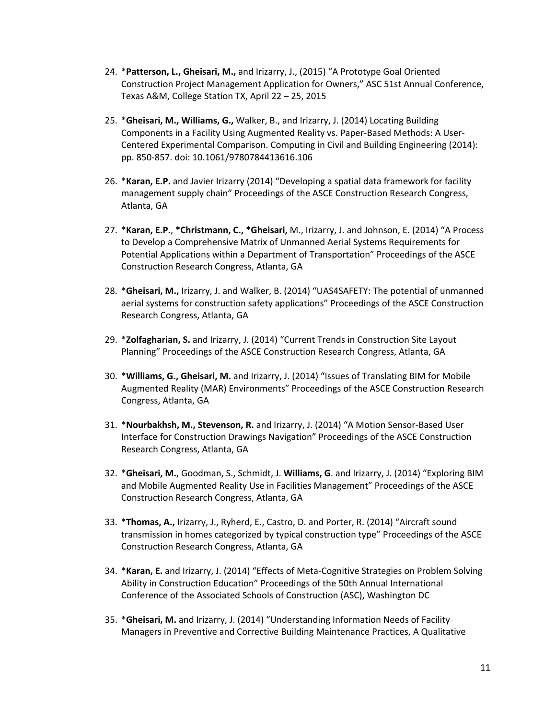- 24. \***Patterson, L., Gheisari, M.,** and Irizarry, J., (2015) "A Prototype Goal Oriented Construction Project Management Application for Owners," ASC 51st Annual Conference, Texas A&M, College Station TX, April 22 – 25, 2015
- 25. \***Gheisari, M., Williams, G.,** Walker, B., and Irizarry, J. (2014) Locating Building Components in a Facility Using Augmented Reality vs. Paper-Based Methods: A User-Centered Experimental Comparison. Computing in Civil and Building Engineering (2014): pp. 850-857. doi: 10.1061/9780784413616.106
- 26. \***Karan, E.P.** and Javier Irizarry (2014) "Developing a spatial data framework for facility management supply chain" Proceedings of the ASCE Construction Research Congress, Atlanta, GA
- 27. \***Karan, E.P.**, **\*Christmann, C., \*Gheisari,** M., Irizarry, J. and Johnson, E. (2014) "A Process to Develop a Comprehensive Matrix of Unmanned Aerial Systems Requirements for Potential Applications within a Department of Transportation" Proceedings of the ASCE Construction Research Congress, Atlanta, GA
- 28. \***Gheisari, M.,** Irizarry, J. and Walker, B. (2014) "UAS4SAFETY: The potential of unmanned aerial systems for construction safety applications" Proceedings of the ASCE Construction Research Congress, Atlanta, GA
- 29. \***Zolfagharian, S.** and Irizarry, J. (2014) "Current Trends in Construction Site Layout Planning" Proceedings of the ASCE Construction Research Congress, Atlanta, GA
- 30. \***Williams, G., Gheisari, M.** and Irizarry, J. (2014) "Issues of Translating BIM for Mobile Augmented Reality (MAR) Environments" Proceedings of the ASCE Construction Research Congress, Atlanta, GA
- 31. \***Nourbakhsh, M., Stevenson, R.** and Irizarry, J. (2014) "A Motion Sensor-Based User Interface for Construction Drawings Navigation" Proceedings of the ASCE Construction Research Congress, Atlanta, GA
- 32. \***Gheisari, M.**, Goodman, S., Schmidt, J. **Williams, G**. and Irizarry, J. (2014) "Exploring BIM and Mobile Augmented Reality Use in Facilities Management" Proceedings of the ASCE Construction Research Congress, Atlanta, GA
- 33. \***Thomas, A.,** Irizarry, J., Ryherd, E., Castro, D. and Porter, R. (2014) "Aircraft sound transmission in homes categorized by typical construction type" Proceedings of the ASCE Construction Research Congress, Atlanta, GA
- 34. \***Karan, E.** and Irizarry, J. (2014) "Effects of Meta-Cognitive Strategies on Problem Solving Ability in Construction Education" Proceedings of the 50th Annual International Conference of the Associated Schools of Construction (ASC), Washington DC
- 35. \***Gheisari, M.** and Irizarry, J. (2014) "Understanding Information Needs of Facility Managers in Preventive and Corrective Building Maintenance Practices, A Qualitative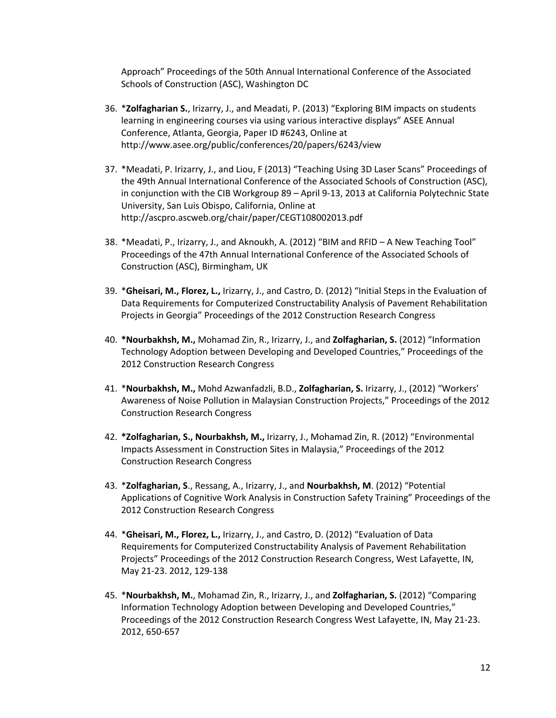Approach" Proceedings of the 50th Annual International Conference of the Associated Schools of Construction (ASC), Washington DC

- 36. \***Zolfagharian S.**, Irizarry, J., and Meadati, P. (2013) "Exploring BIM impacts on students learning in engineering courses via using various interactive displays" ASEE Annual Conference, Atlanta, Georgia, Paper ID #6243, Online at http://www.asee.org/public/conferences/20/papers/6243/view
- 37. \*Meadati, P. Irizarry, J., and Liou, F (2013) "Teaching Using 3D Laser Scans" Proceedings of the 49th Annual International Conference of the Associated Schools of Construction (ASC), in conjunction with the CIB Workgroup 89 – April 9-13, 2013 at California Polytechnic State University, San Luis Obispo, California, Online at http://ascpro.ascweb.org/chair/paper/CEGT108002013.pdf
- 38. \*Meadati, P., Irizarry, J., and Aknoukh, A. (2012) "BIM and RFID A New Teaching Tool" Proceedings of the 47th Annual International Conference of the Associated Schools of Construction (ASC), Birmingham, UK
- 39. \***Gheisari, M., Florez, L.,** Irizarry, J., and Castro, D. (2012) "Initial Steps in the Evaluation of Data Requirements for Computerized Constructability Analysis of Pavement Rehabilitation Projects in Georgia" Proceedings of the 2012 Construction Research Congress
- 40. **\*Nourbakhsh, M.,** Mohamad Zin, R., Irizarry, J., and **Zolfagharian, S.** (2012) "Information Technology Adoption between Developing and Developed Countries," Proceedings of the 2012 Construction Research Congress
- 41. \***Nourbakhsh, M.,** Mohd Azwanfadzli, B.D., **Zolfagharian, S.** Irizarry, J., (2012) "Workers' Awareness of Noise Pollution in Malaysian Construction Projects," Proceedings of the 2012 Construction Research Congress
- 42. **\*Zolfagharian, S., Nourbakhsh, M.,** Irizarry, J., Mohamad Zin, R. (2012) "Environmental Impacts Assessment in Construction Sites in Malaysia," Proceedings of the 2012 Construction Research Congress
- 43. \***Zolfagharian, S**., Ressang, A., Irizarry, J., and **Nourbakhsh, M**. (2012) "Potential Applications of Cognitive Work Analysis in Construction Safety Training" Proceedings of the 2012 Construction Research Congress
- 44. \***Gheisari, M., Florez, L.,** Irizarry, J., and Castro, D. (2012) "Evaluation of Data Requirements for Computerized Constructability Analysis of Pavement Rehabilitation Projects" Proceedings of the 2012 Construction Research Congress, West Lafayette, IN, May 21-23. 2012, 129-138
- 45. \***Nourbakhsh, M.**, Mohamad Zin, R., Irizarry, J., and **Zolfagharian, S.** (2012) "Comparing Information Technology Adoption between Developing and Developed Countries," Proceedings of the 2012 Construction Research Congress West Lafayette, IN, May 21-23. 2012, 650-657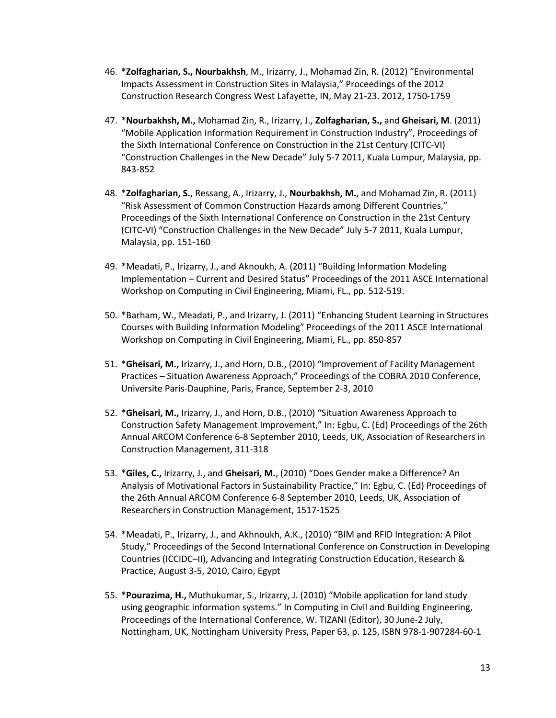- 46. **\*Zolfagharian, S., Nourbakhsh**, M., Irizarry, J., Mohamad Zin, R. (2012) "Environmental Impacts Assessment in Construction Sites in Malaysia," Proceedings of the 2012 Construction Research Congress West Lafayette, IN, May 21-23. 2012, 1750-1759
- 47. \***Nourbakhsh, M.,** Mohamad Zin, R., Irizarry, J., **Zolfagharian, S.,** and **Gheisari, M**. (2011) "Mobile Application Information Requirement in Construction Industry", Proceedings of the Sixth International Conference on Construction in the 21st Century (CITC-VI) "Construction Challenges in the New Decade" July 5-7 2011, Kuala Lumpur, Malaysia, pp. 843-852
- 48. \***Zolfagharian, S.**, Ressang, A., Irizarry, J., **Nourbakhsh, M.**, and Mohamad Zin, R. (2011) "Risk Assessment of Common Construction Hazards among Different Countries," Proceedings of the Sixth International Conference on Construction in the 21st Century (CITC-VI) "Construction Challenges in the New Decade" July 5-7 2011, Kuala Lumpur, Malaysia, pp. 151-160
- 49. \*Meadati, P., Irizarry, J., and Aknoukh, A. (2011) "Building Information Modeling Implementation – Current and Desired Status" Proceedings of the 2011 ASCE International Workshop on Computing in Civil Engineering, Miami, FL., pp. 512-519.
- 50. \*Barham, W., Meadati, P., and Irizarry, J. (2011) "Enhancing Student Learning in Structures Courses with Building Information Modeling" Proceedings of the 2011 ASCE International Workshop on Computing in Civil Engineering, Miami, FL., pp. 850-857
- 51. \***Gheisari, M.,** Irizarry, J., and Horn, D.B., (2010) "Improvement of Facility Management Practices – Situation Awareness Approach," Proceedings of the COBRA 2010 Conference, Universite Paris-Dauphine, Paris, France, September 2-3, 2010
- 52. \***Gheisari, M.,** Irizarry, J., and Horn, D.B., (2010) "Situation Awareness Approach to Construction Safety Management Improvement," In: Egbu, C. (Ed) Proceedings of the 26th Annual ARCOM Conference 6-8 September 2010, Leeds, UK, Association of Researchers in Construction Management, 311-318
- 53. \***Giles, C.,** Irizarry, J., and **Gheisari, M.**, (2010) "Does Gender make a Difference? An Analysis of Motivational Factors in Sustainability Practice," In: Egbu, C. (Ed) Proceedings of the 26th Annual ARCOM Conference 6-8 September 2010, Leeds, UK, Association of Researchers in Construction Management, 1517-1525
- 54. \*Meadati, P., Irizarry, J., and Akhnoukh, A.K., (2010) "BIM and RFID Integration: A Pilot Study," Proceedings of the Second International Conference on Construction in Developing Countries (ICCIDC–II), Advancing and Integrating Construction Education, Research & Practice, August 3-5, 2010, Cairo, Egypt
- 55. \***Pourazima, H.,** Muthukumar, S., Irizarry, J. (2010) "Mobile application for land study using geographic information systems." In Computing in Civil and Building Engineering, Proceedings of the International Conference, W. TIZANI (Editor), 30 June-2 July, Nottingham, UK, Nottingham University Press, Paper 63, p. 125, ISBN 978-1-907284-60-1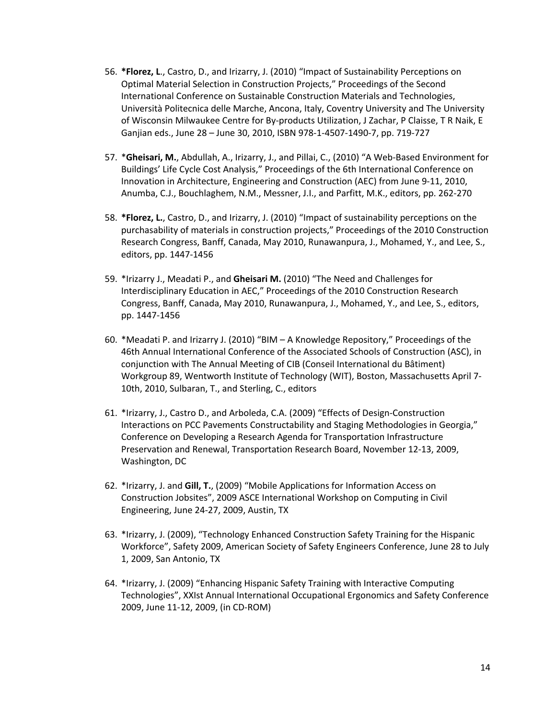- 56. **\*Florez, L**., Castro, D., and Irizarry, J. (2010) "Impact of Sustainability Perceptions on Optimal Material Selection in Construction Projects," Proceedings of the Second International Conference on Sustainable Construction Materials and Technologies, Università Politecnica delle Marche, Ancona, Italy, Coventry University and The University of Wisconsin Milwaukee Centre for By-products Utilization, J Zachar, P Claisse, T R Naik, E Ganjian eds., June 28 – June 30, 2010, ISBN 978-1-4507-1490-7, pp. 719-727
- 57. \***Gheisari, M.**, Abdullah, A., Irizarry, J., and Pillai, C., (2010) "A Web-Based Environment for Buildings' Life Cycle Cost Analysis," Proceedings of the 6th International Conference on Innovation in Architecture, Engineering and Construction (AEC) from June 9-11, 2010, Anumba, C.J., Bouchlaghem, N.M., Messner, J.I., and Parfitt, M.K., editors, pp. 262-270
- 58. **\*Florez, L.**, Castro, D., and Irizarry, J. (2010) "Impact of sustainability perceptions on the purchasability of materials in construction projects," Proceedings of the 2010 Construction Research Congress, Banff, Canada, May 2010, Runawanpura, J., Mohamed, Y., and Lee, S., editors, pp. 1447-1456
- 59. \*Irizarry J., Meadati P., and **Gheisari M.** (2010) "The Need and Challenges for Interdisciplinary Education in AEC," Proceedings of the 2010 Construction Research Congress, Banff, Canada, May 2010, Runawanpura, J., Mohamed, Y., and Lee, S., editors, pp. 1447-1456
- 60. \*Meadati P. and Irizarry J. (2010) "BIM A Knowledge Repository," Proceedings of the 46th Annual International Conference of the Associated Schools of Construction (ASC), in conjunction with The Annual Meeting of CIB (Conseil International du Bâtiment) Workgroup 89, Wentworth Institute of Technology (WIT), Boston, Massachusetts April 7- 10th, 2010, Sulbaran, T., and Sterling, C., editors
- 61. \*Irizarry, J., Castro D., and Arboleda, C.A. (2009) "Effects of Design-Construction Interactions on PCC Pavements Constructability and Staging Methodologies in Georgia," Conference on Developing a Research Agenda for Transportation Infrastructure Preservation and Renewal, Transportation Research Board, November 12-13, 2009, Washington, DC
- 62. \*Irizarry, J. and **Gill, T.**, (2009) "Mobile Applications for Information Access on Construction Jobsites", 2009 ASCE International Workshop on Computing in Civil Engineering, June 24-27, 2009, Austin, TX
- 63. \*Irizarry, J. (2009), "Technology Enhanced Construction Safety Training for the Hispanic Workforce", Safety 2009, American Society of Safety Engineers Conference, June 28 to July 1, 2009, San Antonio, TX
- 64. \*Irizarry, J. (2009) "Enhancing Hispanic Safety Training with Interactive Computing Technologies", XXIst Annual International Occupational Ergonomics and Safety Conference 2009, June 11-12, 2009, (in CD-ROM)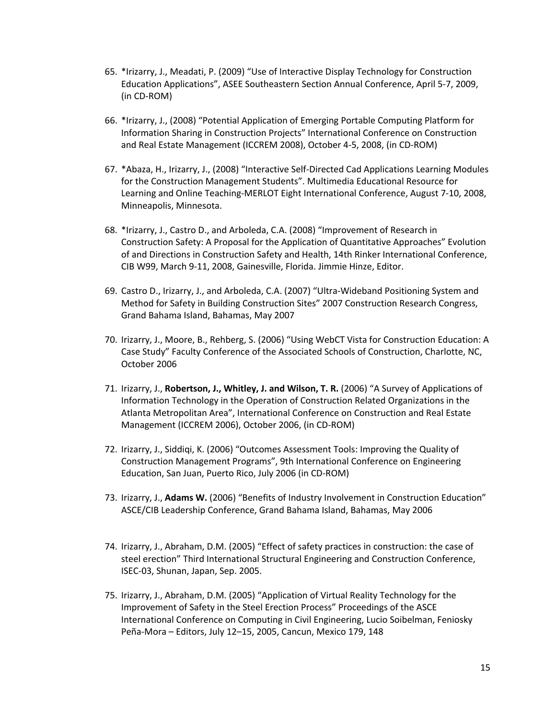- 65. \*Irizarry, J., Meadati, P. (2009) "Use of Interactive Display Technology for Construction Education Applications", ASEE Southeastern Section Annual Conference, April 5-7, 2009, (in CD-ROM)
- 66. \*Irizarry, J., (2008) "Potential Application of Emerging Portable Computing Platform for Information Sharing in Construction Projects" International Conference on Construction and Real Estate Management (ICCREM 2008), October 4-5, 2008, (in CD-ROM)
- 67. \*Abaza, H., Irizarry, J., (2008) "Interactive Self-Directed Cad Applications Learning Modules for the Construction Management Students". Multimedia Educational Resource for Learning and Online Teaching-MERLOT Eight International Conference, August 7-10, 2008, Minneapolis, Minnesota.
- 68. \*Irizarry, J., Castro D., and Arboleda, C.A. (2008) "Improvement of Research in Construction Safety: A Proposal for the Application of Quantitative Approaches" Evolution of and Directions in Construction Safety and Health, 14th Rinker International Conference, CIB W99, March 9-11, 2008, Gainesville, Florida. Jimmie Hinze, Editor.
- 69. Castro D., Irizarry, J., and Arboleda, C.A. (2007) "Ultra-Wideband Positioning System and Method for Safety in Building Construction Sites" 2007 Construction Research Congress, Grand Bahama Island, Bahamas, May 2007
- 70. Irizarry, J., Moore, B., Rehberg, S. (2006) "Using WebCT Vista for Construction Education: A Case Study" Faculty Conference of the Associated Schools of Construction, Charlotte, NC, October 2006
- 71. Irizarry, J., **Robertson, J., Whitley, J. and Wilson, T. R.** (2006) "A Survey of Applications of Information Technology in the Operation of Construction Related Organizations in the Atlanta Metropolitan Area", International Conference on Construction and Real Estate Management (ICCREM 2006), October 2006, (in CD-ROM)
- 72. Irizarry, J., Siddiqi, K. (2006) "Outcomes Assessment Tools: Improving the Quality of Construction Management Programs", 9th International Conference on Engineering Education, San Juan, Puerto Rico, July 2006 (in CD-ROM)
- 73. Irizarry, J., **Adams W.** (2006) "Benefits of Industry Involvement in Construction Education" ASCE/CIB Leadership Conference, Grand Bahama Island, Bahamas, May 2006
- 74. Irizarry, J., Abraham, D.M. (2005) "Effect of safety practices in construction: the case of steel erection" Third International Structural Engineering and Construction Conference, ISEC-03, Shunan, Japan, Sep. 2005.
- 75. Irizarry, J., Abraham, D.M. (2005) "Application of Virtual Reality Technology for the Improvement of Safety in the Steel Erection Process" Proceedings of the ASCE International Conference on Computing in Civil Engineering, Lucio Soibelman, Feniosky Peña-Mora – Editors, July 12–15, 2005, Cancun, Mexico 179, 148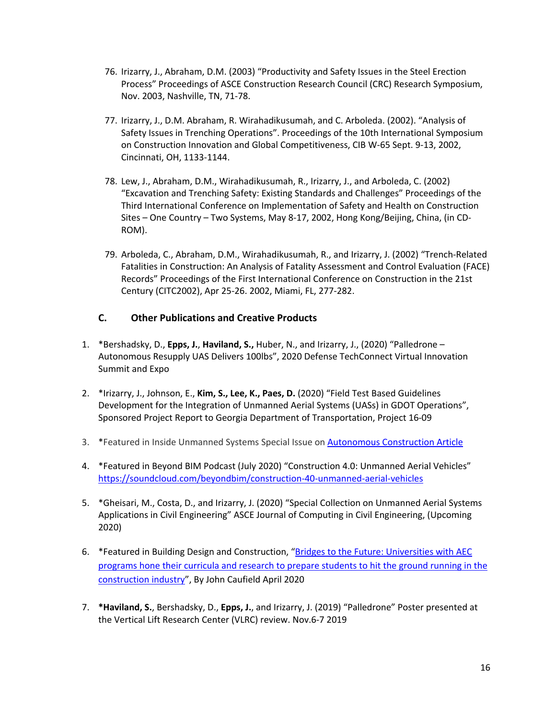- 76. Irizarry, J., Abraham, D.M. (2003) "Productivity and Safety Issues in the Steel Erection Process" Proceedings of ASCE Construction Research Council (CRC) Research Symposium, Nov. 2003, Nashville, TN, 71-78.
- 77. Irizarry, J., D.M. Abraham, R. Wirahadikusumah, and C. Arboleda. (2002). "Analysis of Safety Issues in Trenching Operations". Proceedings of the 10th International Symposium on Construction Innovation and Global Competitiveness, CIB W-65 Sept. 9-13, 2002, Cincinnati, OH, 1133-1144.
- 78. Lew, J., Abraham, D.M., Wirahadikusumah, R., Irizarry, J., and Arboleda, C. (2002) "Excavation and Trenching Safety: Existing Standards and Challenges" Proceedings of the Third International Conference on Implementation of Safety and Health on Construction Sites – One Country – Two Systems, May 8-17, 2002, Hong Kong/Beijing, China, (in CD-ROM).
- 79. Arboleda, C., Abraham, D.M., Wirahadikusumah, R., and Irizarry, J. (2002) "Trench-Related Fatalities in Construction: An Analysis of Fatality Assessment and Control Evaluation (FACE) Records" Proceedings of the First International Conference on Construction in the 21st Century (CITC2002), Apr 25-26. 2002, Miami, FL, 277-282.

## **C. Other Publications and Creative Products**

- 1. \*Bershadsky, D., **Epps, J.**, **Haviland, S.,** Huber, N., and Irizarry, J., (2020) "Palledrone Autonomous Resupply UAS Delivers 100lbs", 2020 Defense TechConnect Virtual Innovation Summit and Expo
- 2. \*Irizarry, J., Johnson, E., **Kim, S., Lee, K., Paes, D.** (2020) "Field Test Based Guidelines Development for the Integration of Unmanned Aerial Systems (UASs) in GDOT Operations", Sponsored Project Report to Georgia Department of Transportation, Project 16-09
- 3. \*Featured in Inside Unmanned Systems Special Issue on Autonomous Construction Article
- 4. \*Featured in Beyond BIM Podcast (July 2020) "Construction 4.0: Unmanned Aerial Vehicles" https://soundcloud.com/beyondbim/construction-40-unmanned-aerial-vehicles
- 5. \*Gheisari, M., Costa, D., and Irizarry, J. (2020) "Special Collection on Unmanned Aerial Systems Applications in Civil Engineering" ASCE Journal of Computing in Civil Engineering, (Upcoming 2020)
- 6. \* Featured in Building Design and Construction, "Bridges to the Future: Universities with AEC programs hone their curricula and research to prepare students to hit the ground running in the construction industry", By John Caufield April 2020
- 7. **\*Haviland, S.**, Bershadsky, D., **Epps, J.**, and Irizarry, J. (2019) "Palledrone" Poster presented at the Vertical Lift Research Center (VLRC) review. Nov.6-7 2019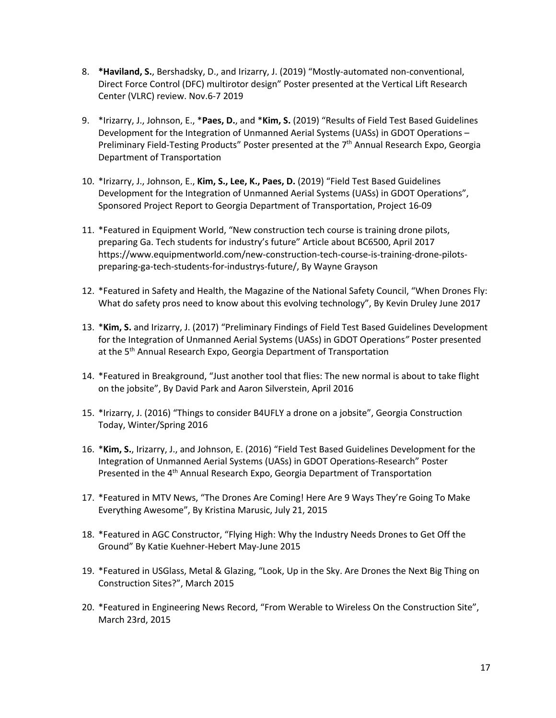- 8. **\*Haviland, S.**, Bershadsky, D., and Irizarry, J. (2019) "Mostly-automated non-conventional, Direct Force Control (DFC) multirotor design" Poster presented at the Vertical Lift Research Center (VLRC) review. Nov.6-7 2019
- 9. \*Irizarry, J., Johnson, E., \***Paes, D.**, and \***Kim, S.** (2019) "Results of Field Test Based Guidelines Development for the Integration of Unmanned Aerial Systems (UASs) in GDOT Operations – Preliminary Field-Testing Products" Poster presented at the 7<sup>th</sup> Annual Research Expo, Georgia Department of Transportation
- 10. \*Irizarry, J., Johnson, E., **Kim, S., Lee, K., Paes, D.** (2019) "Field Test Based Guidelines Development for the Integration of Unmanned Aerial Systems (UASs) in GDOT Operations", Sponsored Project Report to Georgia Department of Transportation, Project 16-09
- 11. \*Featured in Equipment World, "New construction tech course is training drone pilots, preparing Ga. Tech students for industry's future" Article about BC6500, April 2017 https://www.equipmentworld.com/new-construction-tech-course-is-training-drone-pilotspreparing-ga-tech-students-for-industrys-future/, By Wayne Grayson
- 12. \*Featured in Safety and Health, the Magazine of the National Safety Council, "When Drones Fly: What do safety pros need to know about this evolving technology", By Kevin Druley June 2017
- 13. \***Kim, S.** and Irizarry, J. (2017) "Preliminary Findings of Field Test Based Guidelines Development for the Integration of Unmanned Aerial Systems (UASs) in GDOT Operations*"* Poster presented at the 5<sup>th</sup> Annual Research Expo, Georgia Department of Transportation
- 14. \*Featured in Breakground, "Just another tool that flies: The new normal is about to take flight on the jobsite", By David Park and Aaron Silverstein, April 2016
- 15. \*Irizarry, J. (2016) "Things to consider B4UFLY a drone on a jobsite", Georgia Construction Today, Winter/Spring 2016
- 16. \***Kim, S.**, Irizarry, J., and Johnson, E. (2016) "Field Test Based Guidelines Development for the Integration of Unmanned Aerial Systems (UASs) in GDOT Operations-Research" Poster Presented in the 4<sup>th</sup> Annual Research Expo, Georgia Department of Transportation
- 17. \*Featured in MTV News, "The Drones Are Coming! Here Are 9 Ways They're Going To Make Everything Awesome", By Kristina Marusic, July 21, 2015
- 18. \*Featured in AGC Constructor, "Flying High: Why the Industry Needs Drones to Get Off the Ground" By Katie Kuehner-Hebert May-June 2015
- 19. \*Featured in USGlass, Metal & Glazing, "Look, Up in the Sky. Are Drones the Next Big Thing on Construction Sites?", March 2015
- 20. \*Featured in Engineering News Record, "From Werable to Wireless On the Construction Site", March 23rd, 2015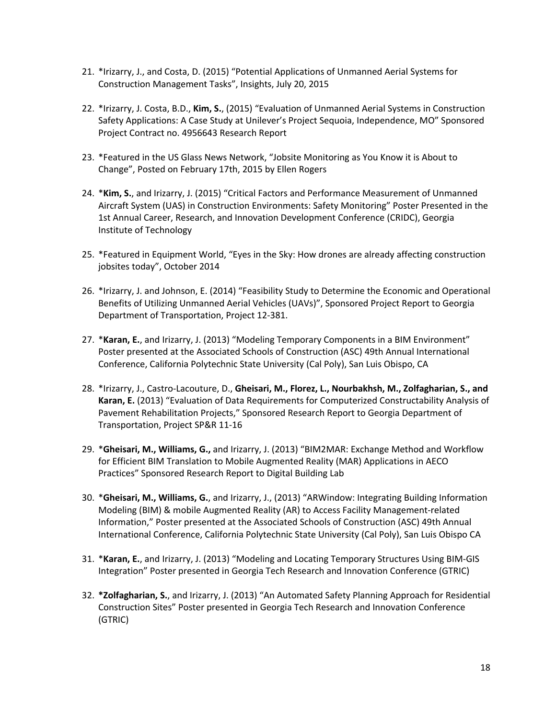- 21. \*Irizarry, J., and Costa, D. (2015) "Potential Applications of Unmanned Aerial Systems for Construction Management Tasks", Insights, July 20, 2015
- 22. \*Irizarry, J. Costa, B.D., **Kim, S.**, (2015) "Evaluation of Unmanned Aerial Systems in Construction Safety Applications: A Case Study at Unilever's Project Sequoia, Independence, MO" Sponsored Project Contract no. 4956643 Research Report
- 23. \*Featured in the US Glass News Network, "Jobsite Monitoring as You Know it is About to Change", Posted on February 17th, 2015 by Ellen Rogers
- 24. \***Kim, S.**, and Irizarry, J. (2015) "Critical Factors and Performance Measurement of Unmanned Aircraft System (UAS) in Construction Environments: Safety Monitoring" Poster Presented in the 1st Annual Career, Research, and Innovation Development Conference (CRIDC), Georgia Institute of Technology
- 25. \*Featured in Equipment World, "Eyes in the Sky: How drones are already affecting construction jobsites today", October 2014
- 26. \*Irizarry, J. and Johnson, E. (2014) "Feasibility Study to Determine the Economic and Operational Benefits of Utilizing Unmanned Aerial Vehicles (UAVs)", Sponsored Project Report to Georgia Department of Transportation, Project 12-381.
- 27. \***Karan, E.**, and Irizarry, J. (2013) "Modeling Temporary Components in a BIM Environment" Poster presented at the Associated Schools of Construction (ASC) 49th Annual International Conference, California Polytechnic State University (Cal Poly), San Luis Obispo, CA
- 28. \*Irizarry, J., Castro-Lacouture, D., **Gheisari, M., Florez, L., Nourbakhsh, M., Zolfagharian, S., and Karan, E.** (2013) "Evaluation of Data Requirements for Computerized Constructability Analysis of Pavement Rehabilitation Projects," Sponsored Research Report to Georgia Department of Transportation, Project SP&R 11-16
- 29. \***Gheisari, M., Williams, G.,** and Irizarry, J. (2013) "BIM2MAR: Exchange Method and Workflow for Efficient BIM Translation to Mobile Augmented Reality (MAR) Applications in AECO Practices" Sponsored Research Report to Digital Building Lab
- 30. \***Gheisari, M., Williams, G.**, and Irizarry, J., (2013) "ARWindow: Integrating Building Information Modeling (BIM) & mobile Augmented Reality (AR) to Access Facility Management-related Information," Poster presented at the Associated Schools of Construction (ASC) 49th Annual International Conference, California Polytechnic State University (Cal Poly), San Luis Obispo CA
- 31. \***Karan, E.**, and Irizarry, J. (2013) "Modeling and Locating Temporary Structures Using BIM-GIS Integration" Poster presented in Georgia Tech Research and Innovation Conference (GTRIC)
- 32. **\*Zolfagharian, S.**, and Irizarry, J. (2013) "An Automated Safety Planning Approach for Residential Construction Sites" Poster presented in Georgia Tech Research and Innovation Conference (GTRIC)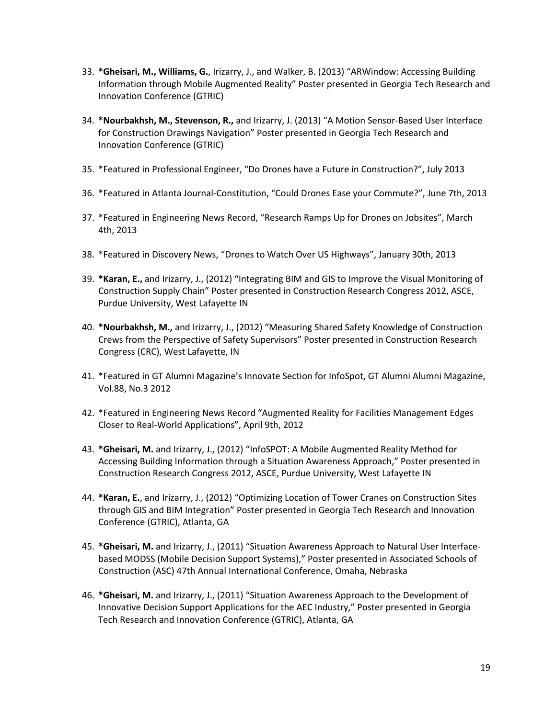- 33. **\*Gheisari, M., Williams, G.**, Irizarry, J., and Walker, B. (2013) "ARWindow: Accessing Building Information through Mobile Augmented Reality" Poster presented in Georgia Tech Research and Innovation Conference (GTRIC)
- 34. **\*Nourbakhsh, M., Stevenson, R.,** and Irizarry, J. (2013) "A Motion Sensor-Based User Interface for Construction Drawings Navigation" Poster presented in Georgia Tech Research and Innovation Conference (GTRIC)
- 35. \*Featured in Professional Engineer, "Do Drones have a Future in Construction?", July 2013
- 36. \*Featured in Atlanta Journal-Constitution, "Could Drones Ease your Commute?", June 7th, 2013
- 37. \*Featured in Engineering News Record, "Research Ramps Up for Drones on Jobsites", March 4th, 2013
- 38. \*Featured in Discovery News, "Drones to Watch Over US Highways", January 30th, 2013
- 39. **\*Karan, E.,** and Irizarry, J., (2012) "Integrating BIM and GIS to Improve the Visual Monitoring of Construction Supply Chain" Poster presented in Construction Research Congress 2012, ASCE, Purdue University, West Lafayette IN
- 40. **\*Nourbakhsh, M.,** and Irizarry, J., (2012) "Measuring Shared Safety Knowledge of Construction Crews from the Perspective of Safety Supervisors" Poster presented in Construction Research Congress (CRC), West Lafayette, IN
- 41. \*Featured in GT Alumni Magazine's Innovate Section for InfoSpot, GT Alumni Alumni Magazine, Vol.88, No.3 2012
- 42. \*Featured in Engineering News Record "Augmented Reality for Facilities Management Edges Closer to Real-World Applications", April 9th, 2012
- 43. **\*Gheisari, M.** and Irizarry, J., (2012) "InfoSPOT: A Mobile Augmented Reality Method for Accessing Building Information through a Situation Awareness Approach," Poster presented in Construction Research Congress 2012, ASCE, Purdue University, West Lafayette IN
- 44. **\*Karan, E.**, and Irizarry, J., (2012) "Optimizing Location of Tower Cranes on Construction Sites through GIS and BIM Integration" Poster presented in Georgia Tech Research and Innovation Conference (GTRIC), Atlanta, GA
- 45. **\*Gheisari, M.** and Irizarry, J., (2011) "Situation Awareness Approach to Natural User Interfacebased MODSS (Mobile Decision Support Systems)," Poster presented in Associated Schools of Construction (ASC) 47th Annual International Conference, Omaha, Nebraska
- 46. **\*Gheisari, M.** and Irizarry, J., (2011) "Situation Awareness Approach to the Development of Innovative Decision Support Applications for the AEC Industry," Poster presented in Georgia Tech Research and Innovation Conference (GTRIC), Atlanta, GA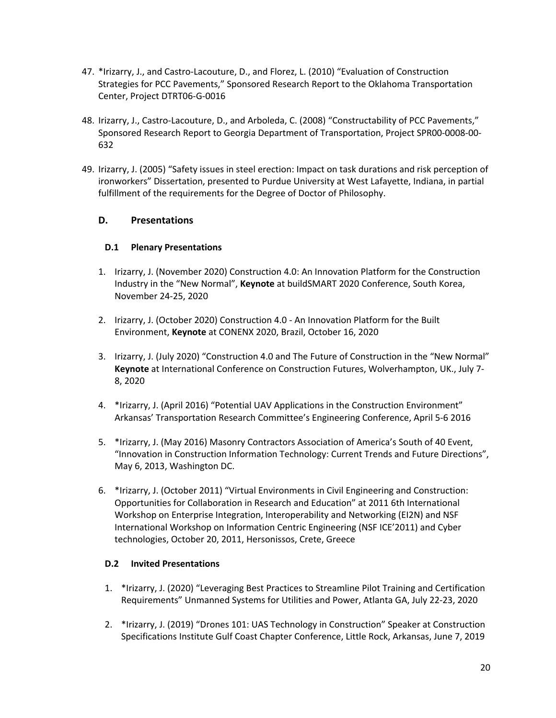- 47. \*Irizarry, J., and Castro-Lacouture, D., and Florez, L. (2010) "Evaluation of Construction Strategies for PCC Pavements," Sponsored Research Report to the Oklahoma Transportation Center, Project DTRT06-G-0016
- 48. Irizarry, J., Castro-Lacouture, D., and Arboleda, C. (2008) "Constructability of PCC Pavements," Sponsored Research Report to Georgia Department of Transportation, Project SPR00-0008-00- 632
- 49. Irizarry, J. (2005) "Safety issues in steel erection: Impact on task durations and risk perception of ironworkers" Dissertation, presented to Purdue University at West Lafayette, Indiana, in partial fulfillment of the requirements for the Degree of Doctor of Philosophy.

## **D. Presentations**

#### **D.1 Plenary Presentations**

- 1. Irizarry, J. (November 2020) Construction 4.0: An Innovation Platform for the Construction Industry in the "New Normal", **Keynote** at buildSMART 2020 Conference, South Korea, November 24-25, 2020
- 2. Irizarry, J. (October 2020) Construction 4.0 An Innovation Platform for the Built Environment, **Keynote** at CONENX 2020, Brazil, October 16, 2020
- 3. Irizarry, J. (July 2020) "Construction 4.0 and The Future of Construction in the "New Normal" **Keynote** at International Conference on Construction Futures, Wolverhampton, UK., July 7- 8, 2020
- 4. \*Irizarry, J. (April 2016) "Potential UAV Applications in the Construction Environment" Arkansas' Transportation Research Committee's Engineering Conference, April 5-6 2016
- 5. \*Irizarry, J. (May 2016) Masonry Contractors Association of America's South of 40 Event, "Innovation in Construction Information Technology: Current Trends and Future Directions", May 6, 2013, Washington DC.
- 6. \*Irizarry, J. (October 2011) "Virtual Environments in Civil Engineering and Construction: Opportunities for Collaboration in Research and Education" at 2011 6th International Workshop on Enterprise Integration, Interoperability and Networking (EI2N) and NSF International Workshop on Information Centric Engineering (NSF ICE'2011) and Cyber technologies, October 20, 2011, Hersonissos, Crete, Greece

#### **D.2 Invited Presentations**

- 1. \*Irizarry, J. (2020) "Leveraging Best Practices to Streamline Pilot Training and Certification Requirements" Unmanned Systems for Utilities and Power, Atlanta GA, July 22-23, 2020
- 2. \*Irizarry, J. (2019) "Drones 101: UAS Technology in Construction" Speaker at Construction Specifications Institute Gulf Coast Chapter Conference, Little Rock, Arkansas, June 7, 2019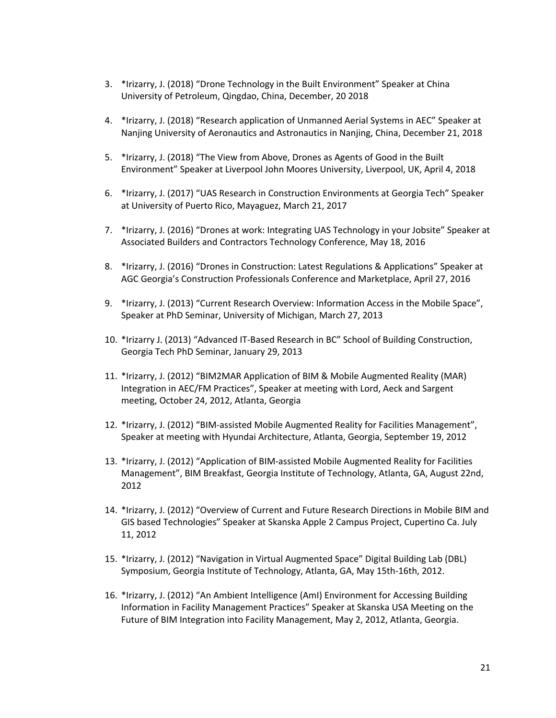- 3. \*Irizarry, J. (2018) "Drone Technology in the Built Environment" Speaker at China University of Petroleum, Qingdao, China, December, 20 2018
- 4. \*Irizarry, J. (2018) "Research application of Unmanned Aerial Systems in AEC" Speaker at Nanjing University of Aeronautics and Astronautics in Nanjing, China, December 21, 2018
- 5. \*Irizarry, J. (2018) "The View from Above, Drones as Agents of Good in the Built Environment" Speaker at Liverpool John Moores University, Liverpool, UK, April 4, 2018
- 6. \*Irizarry, J. (2017) "UAS Research in Construction Environments at Georgia Tech" Speaker at University of Puerto Rico, Mayaguez, March 21, 2017
- 7. \*Irizarry, J. (2016) "Drones at work: Integrating UAS Technology in your Jobsite" Speaker at Associated Builders and Contractors Technology Conference, May 18, 2016
- 8. \*Irizarry, J. (2016) "Drones in Construction: Latest Regulations & Applications" Speaker at AGC Georgia's Construction Professionals Conference and Marketplace, April 27, 2016
- 9. \*Irizarry, J. (2013) "Current Research Overview: Information Access in the Mobile Space", Speaker at PhD Seminar, University of Michigan, March 27, 2013
- 10. \*Irizarry J. (2013) "Advanced IT-Based Research in BC" School of Building Construction, Georgia Tech PhD Seminar, January 29, 2013
- 11. \*Irizarry, J. (2012) "BIM2MAR Application of BIM & Mobile Augmented Reality (MAR) Integration in AEC/FM Practices", Speaker at meeting with Lord, Aeck and Sargent meeting, October 24, 2012, Atlanta, Georgia
- 12. \*Irizarry, J. (2012) "BIM-assisted Mobile Augmented Reality for Facilities Management", Speaker at meeting with Hyundai Architecture, Atlanta, Georgia, September 19, 2012
- 13. \*Irizarry, J. (2012) "Application of BIM-assisted Mobile Augmented Reality for Facilities Management", BIM Breakfast, Georgia Institute of Technology, Atlanta, GA, August 22nd, 2012
- 14. \*Irizarry, J. (2012) "Overview of Current and Future Research Directions in Mobile BIM and GIS based Technologies" Speaker at Skanska Apple 2 Campus Project, Cupertino Ca. July 11, 2012
- 15. \*Irizarry, J. (2012) "Navigation in Virtual Augmented Space" Digital Building Lab (DBL) Symposium, Georgia Institute of Technology, Atlanta, GA, May 15th-16th, 2012.
- 16. \*Irizarry, J. (2012) "An Ambient Intelligence (AmI) Environment for Accessing Building Information in Facility Management Practices" Speaker at Skanska USA Meeting on the Future of BIM Integration into Facility Management, May 2, 2012, Atlanta, Georgia.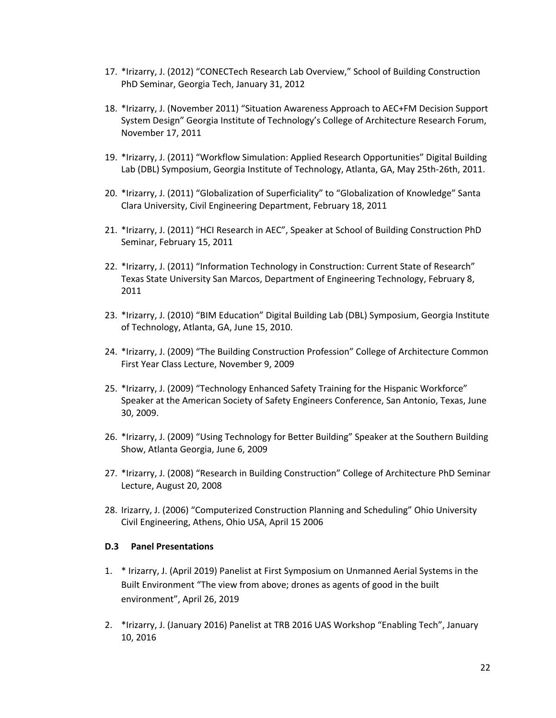- 17. \*Irizarry, J. (2012) "CONECTech Research Lab Overview," School of Building Construction PhD Seminar, Georgia Tech, January 31, 2012
- 18. \*Irizarry, J. (November 2011) "Situation Awareness Approach to AEC+FM Decision Support System Design" Georgia Institute of Technology's College of Architecture Research Forum, November 17, 2011
- 19. \*Irizarry, J. (2011) "Workflow Simulation: Applied Research Opportunities" Digital Building Lab (DBL) Symposium, Georgia Institute of Technology, Atlanta, GA, May 25th-26th, 2011.
- 20. \*Irizarry, J. (2011) "Globalization of Superficiality" to "Globalization of Knowledge" Santa Clara University, Civil Engineering Department, February 18, 2011
- 21. \*Irizarry, J. (2011) "HCI Research in AEC", Speaker at School of Building Construction PhD Seminar, February 15, 2011
- 22. \*Irizarry, J. (2011) "Information Technology in Construction: Current State of Research" Texas State University San Marcos, Department of Engineering Technology, February 8, 2011
- 23. \*Irizarry, J. (2010) "BIM Education" Digital Building Lab (DBL) Symposium, Georgia Institute of Technology, Atlanta, GA, June 15, 2010.
- 24. \*Irizarry, J. (2009) "The Building Construction Profession" College of Architecture Common First Year Class Lecture, November 9, 2009
- 25. \*Irizarry, J. (2009) "Technology Enhanced Safety Training for the Hispanic Workforce" Speaker at the American Society of Safety Engineers Conference, San Antonio, Texas, June 30, 2009.
- 26. \*Irizarry, J. (2009) "Using Technology for Better Building" Speaker at the Southern Building Show, Atlanta Georgia, June 6, 2009
- 27. \*Irizarry, J. (2008) "Research in Building Construction" College of Architecture PhD Seminar Lecture, August 20, 2008
- 28. Irizarry, J. (2006) "Computerized Construction Planning and Scheduling" Ohio University Civil Engineering, Athens, Ohio USA, April 15 2006

#### **D.3 Panel Presentations**

- 1. \* Irizarry, J. (April 2019) Panelist at First Symposium on Unmanned Aerial Systems in the Built Environment "The view from above; drones as agents of good in the built environment", April 26, 2019
- 2. \*Irizarry, J. (January 2016) Panelist at TRB 2016 UAS Workshop "Enabling Tech", January 10, 2016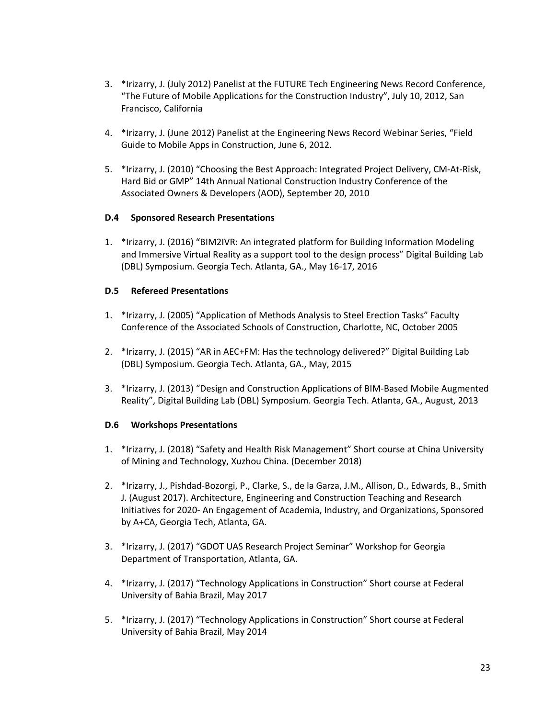- 3. \*Irizarry, J. (July 2012) Panelist at the FUTURE Tech Engineering News Record Conference, "The Future of Mobile Applications for the Construction Industry", July 10, 2012, San Francisco, California
- 4. \*Irizarry, J. (June 2012) Panelist at the Engineering News Record Webinar Series, "Field Guide to Mobile Apps in Construction, June 6, 2012.
- 5. \*Irizarry, J. (2010) "Choosing the Best Approach: Integrated Project Delivery, CM-At-Risk, Hard Bid or GMP" 14th Annual National Construction Industry Conference of the Associated Owners & Developers (AOD), September 20, 2010

#### **D.4 Sponsored Research Presentations**

1. \*Irizarry, J. (2016) "BIM2IVR: An integrated platform for Building Information Modeling and Immersive Virtual Reality as a support tool to the design process" Digital Building Lab (DBL) Symposium. Georgia Tech. Atlanta, GA., May 16-17, 2016

#### **D.5 Refereed Presentations**

- 1. \*Irizarry, J. (2005) "Application of Methods Analysis to Steel Erection Tasks" Faculty Conference of the Associated Schools of Construction, Charlotte, NC, October 2005
- 2. \*Irizarry, J. (2015) "AR in AEC+FM: Has the technology delivered?" Digital Building Lab (DBL) Symposium. Georgia Tech. Atlanta, GA., May, 2015
- 3. \*Irizarry, J. (2013) "Design and Construction Applications of BIM-Based Mobile Augmented Reality", Digital Building Lab (DBL) Symposium. Georgia Tech. Atlanta, GA., August, 2013

## **D.6 Workshops Presentations**

- 1. \*Irizarry, J. (2018) "Safety and Health Risk Management" Short course at China University of Mining and Technology, Xuzhou China. (December 2018)
- 2. \*Irizarry, J., Pishdad-Bozorgi, P., Clarke, S., de la Garza, J.M., Allison, D., Edwards, B., Smith J. (August 2017). Architecture, Engineering and Construction Teaching and Research Initiatives for 2020- An Engagement of Academia, Industry, and Organizations, Sponsored by A+CA, Georgia Tech, Atlanta, GA.
- 3. \*Irizarry, J. (2017) "GDOT UAS Research Project Seminar" Workshop for Georgia Department of Transportation, Atlanta, GA.
- 4. \*Irizarry, J. (2017) "Technology Applications in Construction" Short course at Federal University of Bahia Brazil, May 2017
- 5. \*Irizarry, J. (2017) "Technology Applications in Construction" Short course at Federal University of Bahia Brazil, May 2014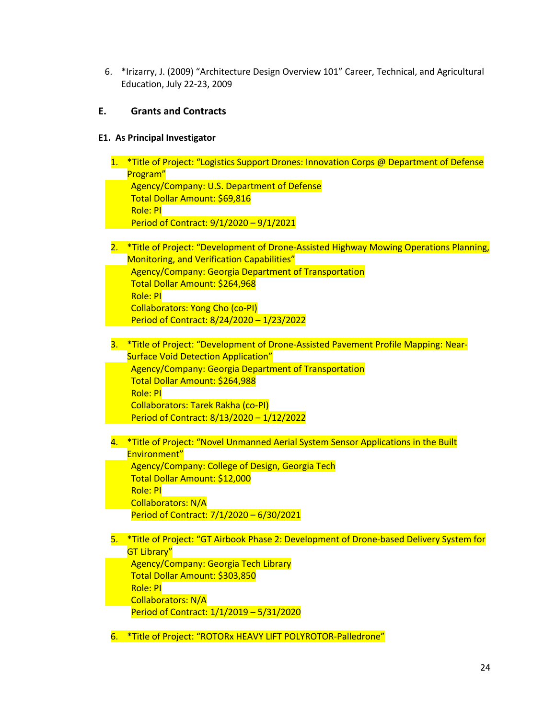6. \*Irizarry, J. (2009) "Architecture Design Overview 101" Career, Technical, and Agricultural Education, July 22-23, 2009

## **E. Grants and Contracts**

#### **E1. As Principal Investigator**

| 1.   | *Title of Project: "Logistics Support Drones: Innovation Corps @ Department of Defense |
|------|----------------------------------------------------------------------------------------|
|      | Program"                                                                               |
|      | Agency/Company: U.S. Department of Defense                                             |
|      | Total Dollar Amount: \$69,816<br><b>Role: PI</b>                                       |
|      | Period of Contract: 9/1/2020 - 9/1/2021                                                |
|      |                                                                                        |
| 2.   | *Title of Project: "Development of Drone-Assisted Highway Mowing Operations Planning,  |
|      | Monitoring, and Verification Capabilities"                                             |
|      | <b>Agency/Company: Georgia Department of Transportation</b>                            |
|      | Total Dollar Amount: \$264,968                                                         |
|      | Role: PI                                                                               |
|      | <b>Collaborators: Yong Cho (co-PI)</b>                                                 |
|      | Period of Contract: 8/24/2020 - 1/23/2022                                              |
| 3. . | *Title of Project: "Development of Drone-Assisted Pavement Profile Mapping: Near-      |
|      | <b>Surface Void Detection Application"</b>                                             |
|      | Agency/Company: Georgia Department of Transportation                                   |
|      | Total Dollar Amount: \$264,988                                                         |
|      | Role: PI                                                                               |
|      | Collaborators: Tarek Rakha (co-PI)                                                     |
|      | Period of Contract: 8/13/2020 - 1/12/2022                                              |
|      |                                                                                        |
| 4.   | *Title of Project: "Novel Unmanned Aerial System Sensor Applications in the Built      |
|      | Environment"<br>Agency/Company: College of Design, Georgia Tech                        |
|      | Total Dollar Amount: \$12,000                                                          |
|      | <b>Role: PI</b>                                                                        |
|      | <b>Collaborators: N/A</b>                                                              |
|      | Period of Contract: 7/1/2020 - 6/30/2021                                               |
|      |                                                                                        |
| 5.   | *Title of Project: "GT Airbook Phase 2: Development of Drone-based Delivery System for |
|      | <b>GT Library"</b>                                                                     |
|      | Agency/Company: Georgia Tech Library                                                   |
|      | Total Dollar Amount: \$303,850                                                         |
|      | Role: PI                                                                               |
|      | <b>Collaborators: N/A</b>                                                              |
|      | Period of Contract: 1/1/2019 - 5/31/2020                                               |

6. \*Title of Project: "ROTORx HEAVY LIFT POLYROTOR-Palledrone"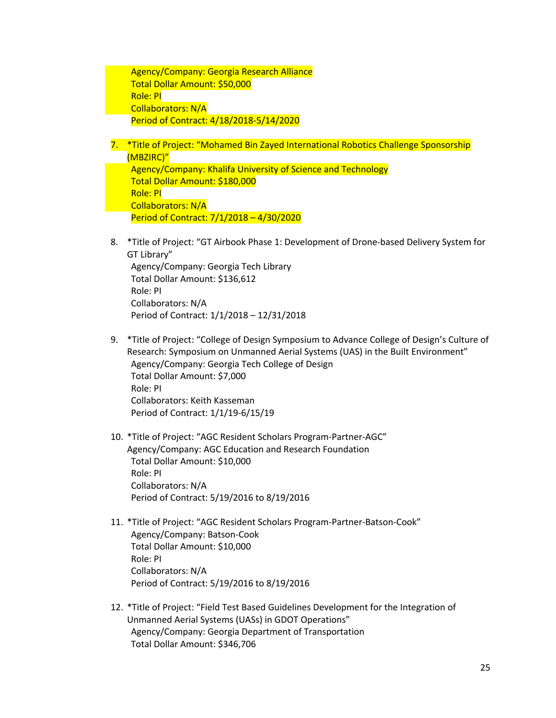Agency/Company: Georgia Research Alliance Total Dollar Amount: \$50,000 Role: PI Collaborators: N/A Period of Contract: 4/18/2018-5/14/2020

- 7. \*Title of Project: "Mohamed Bin Zayed International Robotics Challenge Sponsorship (MBZIRC)" Agency/Company: Khalifa University of Science and Technology Total Dollar Amount: \$180,000 Role: PI Collaborators: N/A Period of Contract: 7/1/2018 – 4/30/2020
- 8. \*Title of Project: "GT Airbook Phase 1: Development of Drone-based Delivery System for GT Library" Agency/Company: Georgia Tech Library Total Dollar Amount: \$136,612 Role: PI Collaborators: N/A Period of Contract: 1/1/2018 – 12/31/2018
- 9. \*Title of Project: "College of Design Symposium to Advance College of Design's Culture of Research: Symposium on Unmanned Aerial Systems (UAS) in the Built Environment" Agency/Company: Georgia Tech College of Design Total Dollar Amount: \$7,000 Role: PI Collaborators: Keith Kasseman Period of Contract: 1/1/19-6/15/19
- 10. \*Title of Project: "AGC Resident Scholars Program-Partner-AGC" Agency/Company: AGC Education and Research Foundation Total Dollar Amount: \$10,000 Role: PI Collaborators: N/A Period of Contract: 5/19/2016 to 8/19/2016
- 11. \*Title of Project: "AGC Resident Scholars Program-Partner-Batson-Cook" Agency/Company: Batson-Cook Total Dollar Amount: \$10,000 Role: PI Collaborators: N/A Period of Contract: 5/19/2016 to 8/19/2016
- 12. \*Title of Project: "Field Test Based Guidelines Development for the Integration of Unmanned Aerial Systems (UASs) in GDOT Operations" Agency/Company: Georgia Department of Transportation Total Dollar Amount: \$346,706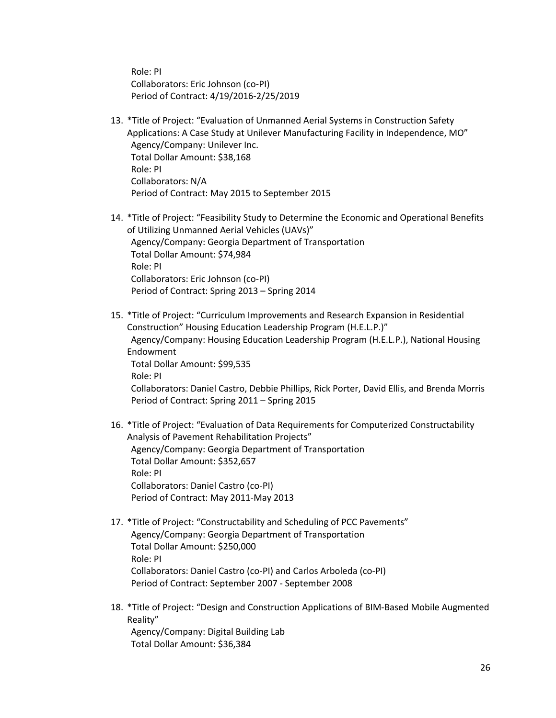Role: PI Collaborators: Eric Johnson (co-PI) Period of Contract: 4/19/2016-2/25/2019

- 13. \*Title of Project: "Evaluation of Unmanned Aerial Systems in Construction Safety Applications: A Case Study at Unilever Manufacturing Facility in Independence, MO" Agency/Company: Unilever Inc. Total Dollar Amount: \$38,168 Role: PI Collaborators: N/A Period of Contract: May 2015 to September 2015
- 14. \*Title of Project: "Feasibility Study to Determine the Economic and Operational Benefits of Utilizing Unmanned Aerial Vehicles (UAVs)" Agency/Company: Georgia Department of Transportation Total Dollar Amount: \$74,984 Role: PI Collaborators: Eric Johnson (co-PI) Period of Contract: Spring 2013 – Spring 2014
- 15. \*Title of Project: "Curriculum Improvements and Research Expansion in Residential Construction" Housing Education Leadership Program (H.E.L.P.)" Agency/Company: Housing Education Leadership Program (H.E.L.P.), National Housing Endowment Total Dollar Amount: \$99,535 Role: PI Collaborators: Daniel Castro, Debbie Phillips, Rick Porter, David Ellis, and Brenda Morris Period of Contract: Spring 2011 – Spring 2015
- 16. \*Title of Project: "Evaluation of Data Requirements for Computerized Constructability Analysis of Pavement Rehabilitation Projects" Agency/Company: Georgia Department of Transportation Total Dollar Amount: \$352,657 Role: PI Collaborators: Daniel Castro (co-PI) Period of Contract: May 2011-May 2013
- 17. \*Title of Project: "Constructability and Scheduling of PCC Pavements" Agency/Company: Georgia Department of Transportation Total Dollar Amount: \$250,000 Role: PI Collaborators: Daniel Castro (co-PI) and Carlos Arboleda (co-PI) Period of Contract: September 2007 - September 2008
- 18. \*Title of Project: "Design and Construction Applications of BIM-Based Mobile Augmented Reality"

Agency/Company: Digital Building Lab Total Dollar Amount: \$36,384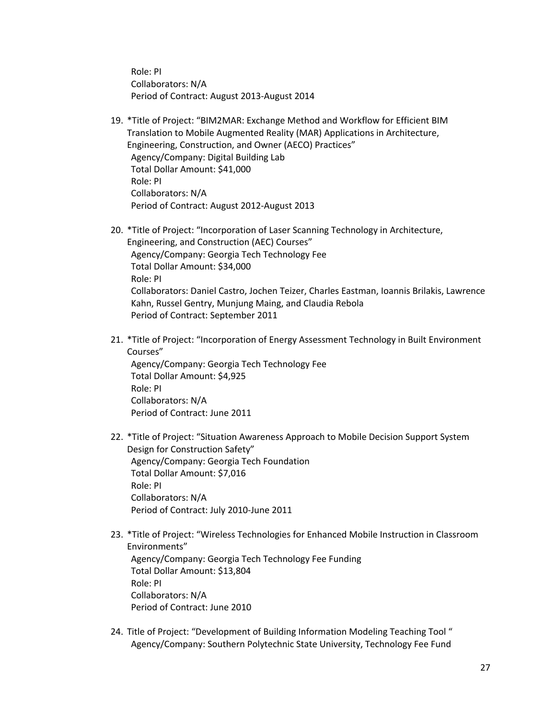Role: PI Collaborators: N/A Period of Contract: August 2013-August 2014

- 19. \*Title of Project: "BIM2MAR: Exchange Method and Workflow for Efficient BIM Translation to Mobile Augmented Reality (MAR) Applications in Architecture, Engineering, Construction, and Owner (AECO) Practices" Agency/Company: Digital Building Lab Total Dollar Amount: \$41,000 Role: PI Collaborators: N/A Period of Contract: August 2012-August 2013
- 20. \*Title of Project: "Incorporation of Laser Scanning Technology in Architecture, Engineering, and Construction (AEC) Courses" Agency/Company: Georgia Tech Technology Fee Total Dollar Amount: \$34,000 Role: PI Collaborators: Daniel Castro, Jochen Teizer, Charles Eastman, Ioannis Brilakis, Lawrence Kahn, Russel Gentry, Munjung Maing, and Claudia Rebola Period of Contract: September 2011
- 21. \*Title of Project: "Incorporation of Energy Assessment Technology in Built Environment Courses" Agency/Company: Georgia Tech Technology Fee Total Dollar Amount: \$4,925 Role: PI Collaborators: N/A Period of Contract: June 2011
- 22. \*Title of Project: "Situation Awareness Approach to Mobile Decision Support System Design for Construction Safety" Agency/Company: Georgia Tech Foundation Total Dollar Amount: \$7,016 Role: PI Collaborators: N/A Period of Contract: July 2010-June 2011
- 23. \*Title of Project: "Wireless Technologies for Enhanced Mobile Instruction in Classroom Environments" Agency/Company: Georgia Tech Technology Fee Funding Total Dollar Amount: \$13,804 Role: PI Collaborators: N/A Period of Contract: June 2010
- 24. Title of Project: "Development of Building Information Modeling Teaching Tool " Agency/Company: Southern Polytechnic State University, Technology Fee Fund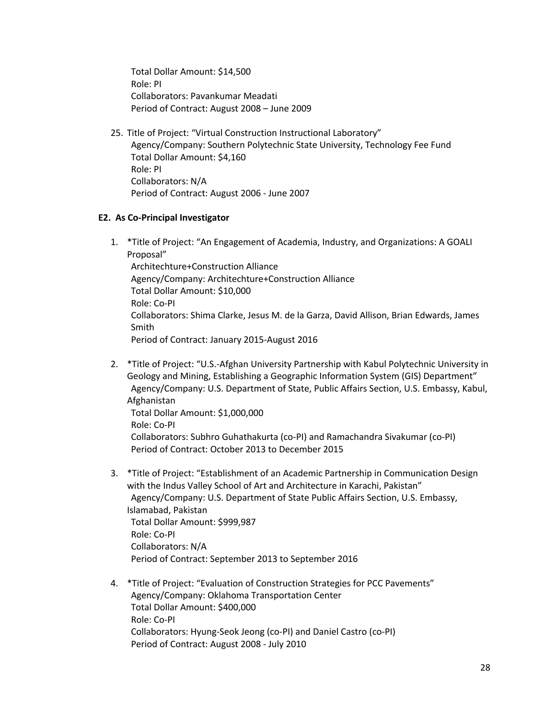Total Dollar Amount: \$14,500 Role: PI Collaborators: Pavankumar Meadati Period of Contract: August 2008 – June 2009

25. Title of Project: "Virtual Construction Instructional Laboratory" Agency/Company: Southern Polytechnic State University, Technology Fee Fund Total Dollar Amount: \$4,160 Role: PI Collaborators: N/A Period of Contract: August 2006 - June 2007

#### **E2. As Co-Principal Investigator**

- 1. \*Title of Project: "An Engagement of Academia, Industry, and Organizations: A GOALI Proposal" Architechture+Construction Alliance Agency/Company: Architechture+Construction Alliance Total Dollar Amount: \$10,000 Role: Co-PI Collaborators: Shima Clarke, Jesus M. de la Garza, David Allison, Brian Edwards, James Smith Period of Contract: January 2015-August 2016
- 2. \*Title of Project: "U.S.-Afghan University Partnership with Kabul Polytechnic University in Geology and Mining, Establishing a Geographic Information System (GIS) Department" Agency/Company: U.S. Department of State, Public Affairs Section, U.S. Embassy, Kabul, Afghanistan Total Dollar Amount: \$1,000,000 Role: Co-PI Collaborators: Subhro Guhathakurta (co-PI) and Ramachandra Sivakumar (co-PI) Period of Contract: October 2013 to December 2015
- 3. \*Title of Project: "Establishment of an Academic Partnership in Communication Design with the Indus Valley School of Art and Architecture in Karachi, Pakistan" Agency/Company: U.S. Department of State Public Affairs Section, U.S. Embassy, Islamabad, Pakistan Total Dollar Amount: \$999,987 Role: Co-PI Collaborators: N/A Period of Contract: September 2013 to September 2016
- 4. \*Title of Project: "Evaluation of Construction Strategies for PCC Pavements" Agency/Company: Oklahoma Transportation Center Total Dollar Amount: \$400,000 Role: Co-PI Collaborators: Hyung-Seok Jeong (co-PI) and Daniel Castro (co-PI) Period of Contract: August 2008 - July 2010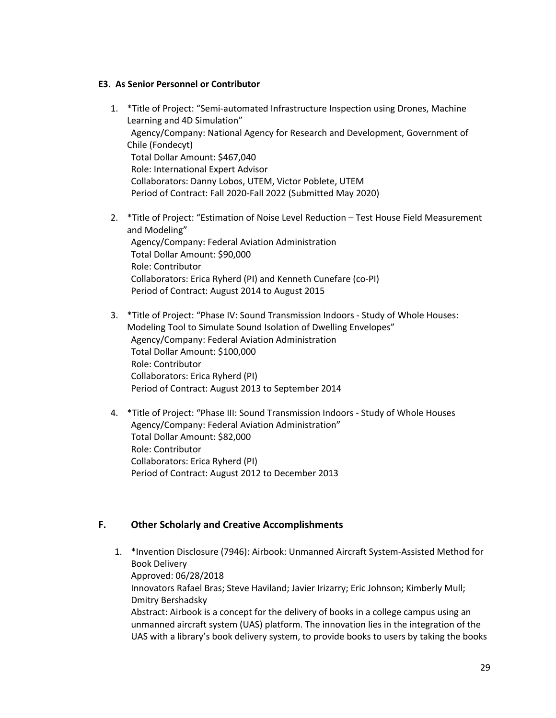#### **E3. As Senior Personnel or Contributor**

- 1. \*Title of Project: "Semi-automated Infrastructure Inspection using Drones, Machine Learning and 4D Simulation" Agency/Company: National Agency for Research and Development, Government of Chile (Fondecyt) Total Dollar Amount: \$467,040 Role: International Expert Advisor Collaborators: Danny Lobos, UTEM, Victor Poblete, UTEM Period of Contract: Fall 2020-Fall 2022 (Submitted May 2020)
- 2. \*Title of Project: "Estimation of Noise Level Reduction Test House Field Measurement and Modeling" Agency/Company: Federal Aviation Administration Total Dollar Amount: \$90,000 Role: Contributor Collaborators: Erica Ryherd (PI) and Kenneth Cunefare (co-PI) Period of Contract: August 2014 to August 2015
- 3. \*Title of Project: "Phase IV: Sound Transmission Indoors Study of Whole Houses: Modeling Tool to Simulate Sound Isolation of Dwelling Envelopes" Agency/Company: Federal Aviation Administration Total Dollar Amount: \$100,000 Role: Contributor Collaborators: Erica Ryherd (PI) Period of Contract: August 2013 to September 2014
- 4. \*Title of Project: "Phase III: Sound Transmission Indoors Study of Whole Houses Agency/Company: Federal Aviation Administration" Total Dollar Amount: \$82,000 Role: Contributor Collaborators: Erica Ryherd (PI) Period of Contract: August 2012 to December 2013

#### **F. Other Scholarly and Creative Accomplishments**

1. \*Invention Disclosure (7946): Airbook: Unmanned Aircraft System-Assisted Method for Book Delivery Approved: 06/28/2018 Innovators Rafael Bras; Steve Haviland; Javier Irizarry; Eric Johnson; Kimberly Mull; Dmitry Bershadsky Abstract: Airbook is a concept for the delivery of books in a college campus using an unmanned aircraft system (UAS) platform. The innovation lies in the integration of the UAS with a library's book delivery system, to provide books to users by taking the books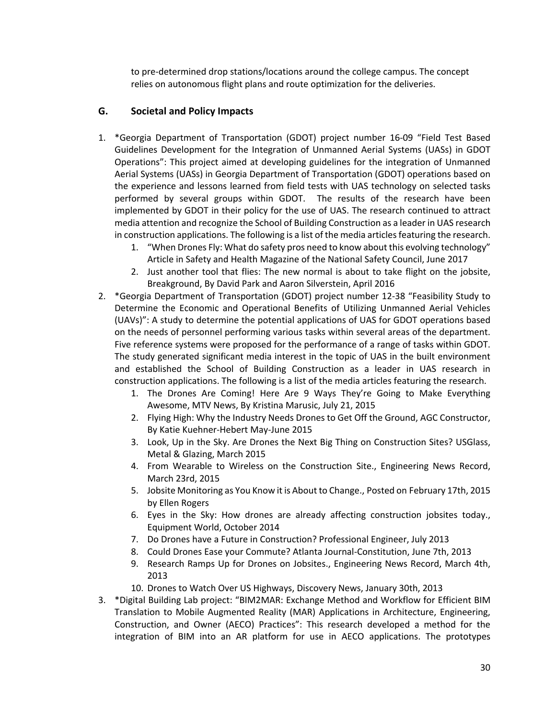to pre-determined drop stations/locations around the college campus. The concept relies on autonomous flight plans and route optimization for the deliveries.

## **G. Societal and Policy Impacts**

- 1. \*Georgia Department of Transportation (GDOT) project number 16-09 "Field Test Based Guidelines Development for the Integration of Unmanned Aerial Systems (UASs) in GDOT Operations": This project aimed at developing guidelines for the integration of Unmanned Aerial Systems (UASs) in Georgia Department of Transportation (GDOT) operations based on the experience and lessons learned from field tests with UAS technology on selected tasks performed by several groups within GDOT. The results of the research have been implemented by GDOT in their policy for the use of UAS. The research continued to attract media attention and recognize the School of Building Construction as a leader in UAS research in construction applications. The following is a list of the media articles featuring the research.
	- 1. "When Drones Fly: What do safety pros need to know about this evolving technology" Article in Safety and Health Magazine of the National Safety Council, June 2017
	- 2. Just another tool that flies: The new normal is about to take flight on the jobsite, Breakground, By David Park and Aaron Silverstein, April 2016
- 2. \*Georgia Department of Transportation (GDOT) project number 12-38 "Feasibility Study to Determine the Economic and Operational Benefits of Utilizing Unmanned Aerial Vehicles (UAVs)": A study to determine the potential applications of UAS for GDOT operations based on the needs of personnel performing various tasks within several areas of the department. Five reference systems were proposed for the performance of a range of tasks within GDOT. The study generated significant media interest in the topic of UAS in the built environment and established the School of Building Construction as a leader in UAS research in construction applications. The following is a list of the media articles featuring the research.
	- 1. The Drones Are Coming! Here Are 9 Ways They're Going to Make Everything Awesome, MTV News, By Kristina Marusic, July 21, 2015
	- 2. Flying High: Why the Industry Needs Drones to Get Off the Ground, AGC Constructor, By Katie Kuehner-Hebert May-June 2015
	- 3. Look, Up in the Sky. Are Drones the Next Big Thing on Construction Sites? USGlass, Metal & Glazing, March 2015
	- 4. From Wearable to Wireless on the Construction Site., Engineering News Record, March 23rd, 2015
	- 5. Jobsite Monitoring as You Know it is About to Change., Posted on February 17th, 2015 by Ellen Rogers
	- 6. Eyes in the Sky: How drones are already affecting construction jobsites today., Equipment World, October 2014
	- 7. Do Drones have a Future in Construction? Professional Engineer, July 2013
	- 8. Could Drones Ease your Commute? Atlanta Journal-Constitution, June 7th, 2013
	- 9. Research Ramps Up for Drones on Jobsites., Engineering News Record, March 4th, 2013
	- 10. Drones to Watch Over US Highways, Discovery News, January 30th, 2013
- 3. \*Digital Building Lab project: "BIM2MAR: Exchange Method and Workflow for Efficient BIM Translation to Mobile Augmented Reality (MAR) Applications in Architecture, Engineering, Construction, and Owner (AECO) Practices": This research developed a method for the integration of BIM into an AR platform for use in AECO applications. The prototypes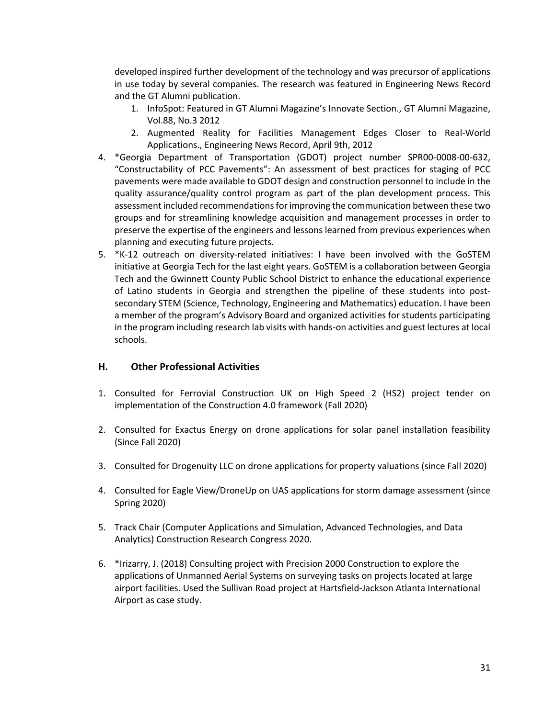developed inspired further development of the technology and was precursor of applications in use today by several companies. The research was featured in Engineering News Record and the GT Alumni publication.

- 1. InfoSpot: Featured in GT Alumni Magazine's Innovate Section., GT Alumni Magazine, Vol.88, No.3 2012
- 2. Augmented Reality for Facilities Management Edges Closer to Real-World Applications., Engineering News Record, April 9th, 2012
- 4. \*Georgia Department of Transportation (GDOT) project number SPR00-0008-00-632, "Constructability of PCC Pavements": An assessment of best practices for staging of PCC pavements were made available to GDOT design and construction personnel to include in the quality assurance/quality control program as part of the plan development process. This assessment included recommendations for improving the communication between these two groups and for streamlining knowledge acquisition and management processes in order to preserve the expertise of the engineers and lessons learned from previous experiences when planning and executing future projects.
- 5. \*K-12 outreach on diversity-related initiatives: I have been involved with the GoSTEM initiative at Georgia Tech for the last eight years. GoSTEM is a collaboration between Georgia Tech and the Gwinnett County Public School District to enhance the educational experience of Latino students in Georgia and strengthen the pipeline of these students into postsecondary STEM (Science, Technology, Engineering and Mathematics) education. I have been a member of the program's Advisory Board and organized activities for students participating in the program including research lab visits with hands-on activities and guest lectures at local schools.

## **H. Other Professional Activities**

- 1. Consulted for Ferrovial Construction UK on High Speed 2 (HS2) project tender on implementation of the Construction 4.0 framework (Fall 2020)
- 2. Consulted for Exactus Energy on drone applications for solar panel installation feasibility (Since Fall 2020)
- 3. Consulted for Drogenuity LLC on drone applications for property valuations (since Fall 2020)
- 4. Consulted for Eagle View/DroneUp on UAS applications for storm damage assessment (since Spring 2020)
- 5. Track Chair (Computer Applications and Simulation, Advanced Technologies, and Data Analytics) Construction Research Congress 2020.
- 6. \*Irizarry, J. (2018) Consulting project with Precision 2000 Construction to explore the applications of Unmanned Aerial Systems on surveying tasks on projects located at large airport facilities. Used the Sullivan Road project at Hartsfield-Jackson Atlanta International Airport as case study.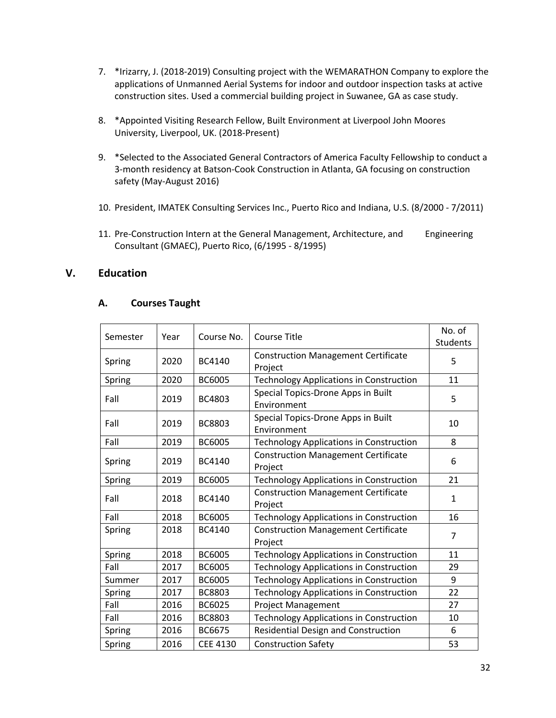- 7. \*Irizarry, J. (2018-2019) Consulting project with the WEMARATHON Company to explore the applications of Unmanned Aerial Systems for indoor and outdoor inspection tasks at active construction sites. Used a commercial building project in Suwanee, GA as case study.
- 8. \*Appointed Visiting Research Fellow, Built Environment at Liverpool John Moores University, Liverpool, UK. (2018-Present)
- 9. \*Selected to the Associated General Contractors of America Faculty Fellowship to conduct a 3-month residency at Batson-Cook Construction in Atlanta, GA focusing on construction safety (May-August 2016)
- 10. President, IMATEK Consulting Services Inc., Puerto Rico and Indiana, U.S. (8/2000 7/2011)
- 11. Pre-Construction Intern at the General Management, Architecture, and Engineering Consultant (GMAEC), Puerto Rico, (6/1995 - 8/1995)

## **V. Education**

#### **A. Courses Taught**

| Semester | Year | Course No.      | <b>Course Title</b>                                   | No. of<br><b>Students</b> |
|----------|------|-----------------|-------------------------------------------------------|---------------------------|
| Spring   | 2020 | BC4140          | <b>Construction Management Certificate</b><br>Project | 5                         |
| Spring   | 2020 | <b>BC6005</b>   | <b>Technology Applications in Construction</b>        | 11                        |
| Fall     | 2019 | BC4803          | Special Topics-Drone Apps in Built<br>Environment     | 5                         |
| Fall     | 2019 | BC8803          | Special Topics-Drone Apps in Built<br>Environment     | 10                        |
| Fall     | 2019 | BC6005          | <b>Technology Applications in Construction</b>        | 8                         |
| Spring   | 2019 | BC4140          | <b>Construction Management Certificate</b><br>Project | 6                         |
| Spring   | 2019 | BC6005          | <b>Technology Applications in Construction</b>        | 21                        |
| Fall     | 2018 | BC4140          | <b>Construction Management Certificate</b><br>Project | $\mathbf{1}$              |
| Fall     | 2018 | <b>BC6005</b>   | <b>Technology Applications in Construction</b>        | 16                        |
| Spring   | 2018 | <b>BC4140</b>   | <b>Construction Management Certificate</b><br>Project | $\overline{7}$            |
| Spring   | 2018 | <b>BC6005</b>   | <b>Technology Applications in Construction</b>        | 11                        |
| Fall     | 2017 | <b>BC6005</b>   | <b>Technology Applications in Construction</b>        | 29                        |
| Summer   | 2017 | <b>BC6005</b>   | <b>Technology Applications in Construction</b>        | 9                         |
| Spring   | 2017 | BC8803          | <b>Technology Applications in Construction</b>        | 22                        |
| Fall     | 2016 | BC6025          | <b>Project Management</b>                             | 27                        |
| Fall     | 2016 | <b>BC8803</b>   | <b>Technology Applications in Construction</b>        | 10                        |
| Spring   | 2016 | BC6675          | Residential Design and Construction                   | 6                         |
| Spring   | 2016 | <b>CEE 4130</b> | <b>Construction Safety</b>                            | 53                        |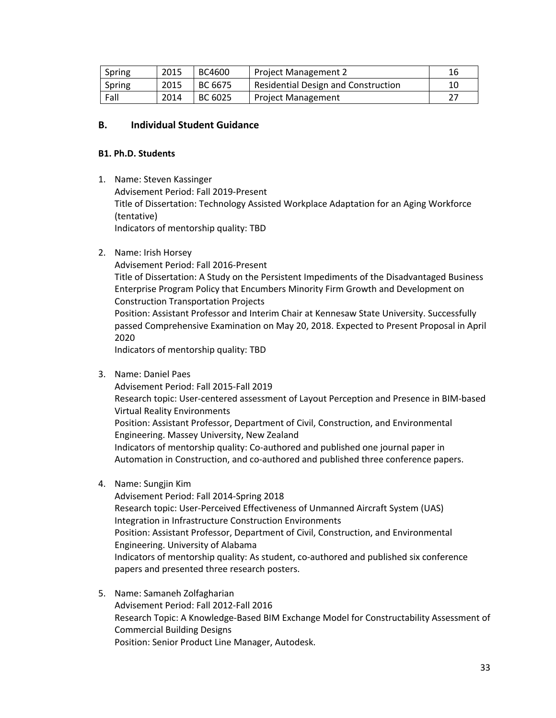| Spring | 2015 | BC4600  | <b>Project Management 2</b>                | 16 |
|--------|------|---------|--------------------------------------------|----|
| Spring | 2015 | BC 6675 | <b>Residential Design and Construction</b> | 10 |
| Fall   | 2014 | BC 6025 | <b>Project Management</b>                  |    |

### **B. Individual Student Guidance**

#### **B1. Ph.D. Students**

- 1. Name: Steven Kassinger Advisement Period: Fall 2019-Present Title of Dissertation: Technology Assisted Workplace Adaptation for an Aging Workforce (tentative) Indicators of mentorship quality: TBD
- 2. Name: Irish Horsey

Advisement Period: Fall 2016-Present Title of Dissertation: A Study on the Persistent Impediments of the Disadvantaged Business Enterprise Program Policy that Encumbers Minority Firm Growth and Development on Construction Transportation Projects Position: Assistant Professor and Interim Chair at Kennesaw State University. Successfully passed Comprehensive Examination on May 20, 2018. Expected to Present Proposal in April 2020 Indicators of mentorship quality: TBD

3. Name: Daniel Paes

Advisement Period: Fall 2015-Fall 2019 Research topic: User-centered assessment of Layout Perception and Presence in BIM-based Virtual Reality Environments Position: Assistant Professor, Department of Civil, Construction, and Environmental Engineering. Massey University, New Zealand Indicators of mentorship quality: Co-authored and published one journal paper in Automation in Construction, and co-authored and published three conference papers.

4. Name: Sungjin Kim

Advisement Period: Fall 2014-Spring 2018 Research topic: User-Perceived Effectiveness of Unmanned Aircraft System (UAS) Integration in Infrastructure Construction Environments Position: Assistant Professor, Department of Civil, Construction, and Environmental Engineering. University of Alabama Indicators of mentorship quality: As student, co-authored and published six conference papers and presented three research posters.

5. Name: Samaneh Zolfagharian Advisement Period: Fall 2012-Fall 2016 Research Topic: A Knowledge-Based BIM Exchange Model for Constructability Assessment of Commercial Building Designs Position: Senior Product Line Manager, Autodesk.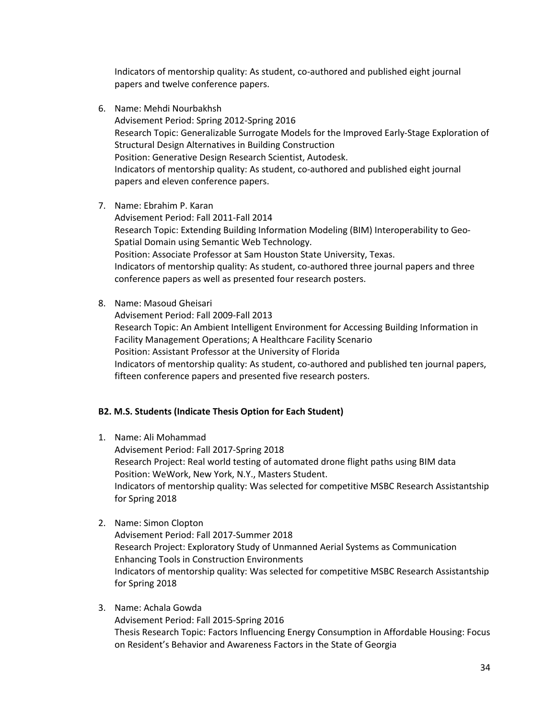Indicators of mentorship quality: As student, co-authored and published eight journal papers and twelve conference papers.

- 6. Name: Mehdi Nourbakhsh Advisement Period: Spring 2012-Spring 2016 Research Topic: Generalizable Surrogate Models for the Improved Early-Stage Exploration of Structural Design Alternatives in Building Construction Position: Generative Design Research Scientist, Autodesk. Indicators of mentorship quality: As student, co-authored and published eight journal papers and eleven conference papers.
- 7. Name: Ebrahim P. Karan

Advisement Period: Fall 2011-Fall 2014 Research Topic: Extending Building Information Modeling (BIM) Interoperability to Geo-Spatial Domain using Semantic Web Technology. Position: Associate Professor at Sam Houston State University, Texas. Indicators of mentorship quality: As student, co-authored three journal papers and three conference papers as well as presented four research posters.

8. Name: Masoud Gheisari

Advisement Period: Fall 2009-Fall 2013 Research Topic: An Ambient Intelligent Environment for Accessing Building Information in Facility Management Operations; A Healthcare Facility Scenario Position: Assistant Professor at the University of Florida Indicators of mentorship quality: As student, co-authored and published ten journal papers, fifteen conference papers and presented five research posters.

## **B2. M.S. Students (Indicate Thesis Option for Each Student)**

- 1. Name: Ali Mohammad Advisement Period: Fall 2017-Spring 2018 Research Project: Real world testing of automated drone flight paths using BIM data Position: WeWork, New York, N.Y., Masters Student. Indicators of mentorship quality: Was selected for competitive MSBC Research Assistantship for Spring 2018
- 2. Name: Simon Clopton Advisement Period: Fall 2017-Summer 2018 Research Project: Exploratory Study of Unmanned Aerial Systems as Communication Enhancing Tools in Construction Environments Indicators of mentorship quality: Was selected for competitive MSBC Research Assistantship for Spring 2018
- 3. Name: Achala Gowda

Advisement Period: Fall 2015-Spring 2016 Thesis Research Topic: Factors Influencing Energy Consumption in Affordable Housing: Focus on Resident's Behavior and Awareness Factors in the State of Georgia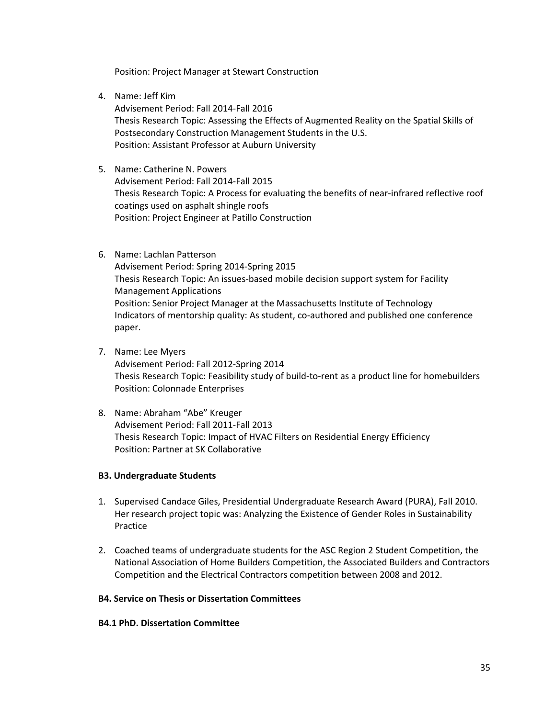Position: Project Manager at Stewart Construction

4. Name: Jeff Kim

Advisement Period: Fall 2014-Fall 2016 Thesis Research Topic: Assessing the Effects of Augmented Reality on the Spatial Skills of Postsecondary Construction Management Students in the U.S. Position: Assistant Professor at Auburn University

- 5. Name: Catherine N. Powers Advisement Period: Fall 2014-Fall 2015 Thesis Research Topic: A Process for evaluating the benefits of near-infrared reflective roof coatings used on asphalt shingle roofs Position: Project Engineer at Patillo Construction
- 6. Name: Lachlan Patterson Advisement Period: Spring 2014-Spring 2015 Thesis Research Topic: An issues-based mobile decision support system for Facility Management Applications Position: Senior Project Manager at the Massachusetts Institute of Technology Indicators of mentorship quality: As student, co-authored and published one conference paper.
- 7. Name: Lee Myers

Advisement Period: Fall 2012-Spring 2014 Thesis Research Topic: Feasibility study of build-to-rent as a product line for homebuilders Position: Colonnade Enterprises

8. Name: Abraham "Abe" Kreuger Advisement Period: Fall 2011-Fall 2013 Thesis Research Topic: Impact of HVAC Filters on Residential Energy Efficiency Position: Partner at SK Collaborative

#### **B3. Undergraduate Students**

- 1. Supervised Candace Giles, Presidential Undergraduate Research Award (PURA), Fall 2010. Her research project topic was: Analyzing the Existence of Gender Roles in Sustainability Practice
- 2. Coached teams of undergraduate students for the ASC Region 2 Student Competition, the National Association of Home Builders Competition, the Associated Builders and Contractors Competition and the Electrical Contractors competition between 2008 and 2012.

#### **B4. Service on Thesis or Dissertation Committees**

#### **B4.1 PhD. Dissertation Committee**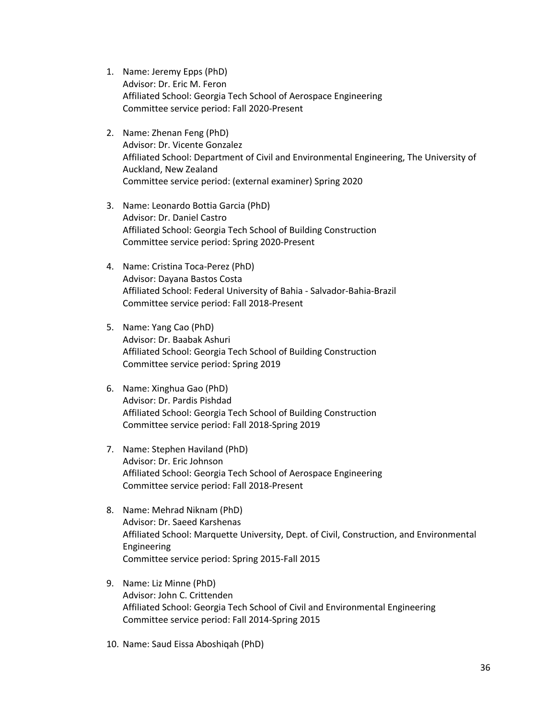- 1. Name: Jeremy Epps (PhD) Advisor: Dr. Eric M. Feron Affiliated School: Georgia Tech School of Aerospace Engineering Committee service period: Fall 2020-Present
- 2. Name: Zhenan Feng (PhD) Advisor: Dr. Vicente Gonzalez Affiliated School: Department of Civil and Environmental Engineering, The University of Auckland, New Zealand Committee service period: (external examiner) Spring 2020
- 3. Name: Leonardo Bottia Garcia (PhD) Advisor: Dr. Daniel Castro Affiliated School: Georgia Tech School of Building Construction Committee service period: Spring 2020-Present
- 4. Name: Cristina Toca-Perez (PhD) Advisor: Dayana Bastos Costa Affiliated School: Federal University of Bahia - Salvador-Bahia-Brazil Committee service period: Fall 2018-Present
- 5. Name: Yang Cao (PhD) Advisor: Dr. Baabak Ashuri Affiliated School: Georgia Tech School of Building Construction Committee service period: Spring 2019
- 6. Name: Xinghua Gao (PhD) Advisor: Dr. Pardis Pishdad Affiliated School: Georgia Tech School of Building Construction Committee service period: Fall 2018-Spring 2019
- 7. Name: Stephen Haviland (PhD) Advisor: Dr. Eric Johnson Affiliated School: Georgia Tech School of Aerospace Engineering Committee service period: Fall 2018-Present
- 8. Name: Mehrad Niknam (PhD) Advisor: Dr. Saeed Karshenas Affiliated School: Marquette University, Dept. of Civil, Construction, and Environmental Engineering Committee service period: Spring 2015-Fall 2015
- 9. Name: Liz Minne (PhD) Advisor: John C. Crittenden Affiliated School: Georgia Tech School of Civil and Environmental Engineering Committee service period: Fall 2014-Spring 2015
- 10. Name: Saud Eissa Aboshiqah (PhD)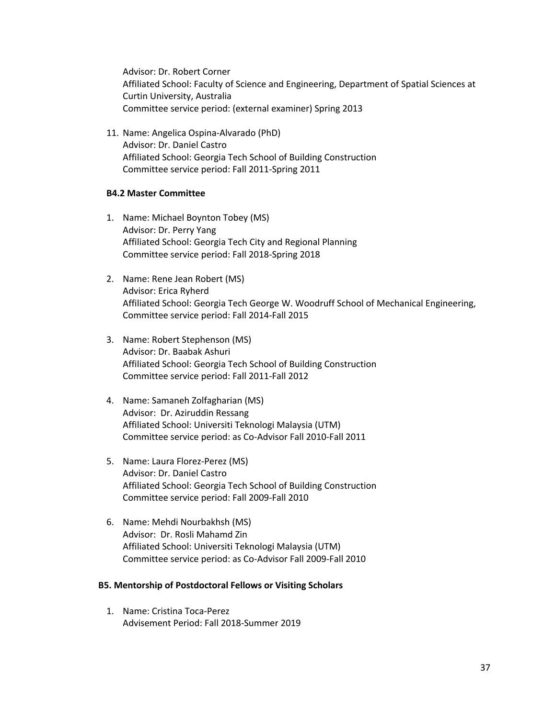Advisor: Dr. Robert Corner Affiliated School: Faculty of Science and Engineering, Department of Spatial Sciences at Curtin University, Australia Committee service period: (external examiner) Spring 2013

11. Name: Angelica Ospina-Alvarado (PhD) Advisor: Dr. Daniel Castro Affiliated School: Georgia Tech School of Building Construction Committee service period: Fall 2011-Spring 2011

#### **B4.2 Master Committee**

- 1. Name: Michael Boynton Tobey (MS) Advisor: Dr. Perry Yang Affiliated School: Georgia Tech City and Regional Planning Committee service period: Fall 2018-Spring 2018
- 2. Name: Rene Jean Robert (MS) Advisor: Erica Ryherd Affiliated School: Georgia Tech George W. Woodruff School of Mechanical Engineering, Committee service period: Fall 2014-Fall 2015
- 3. Name: Robert Stephenson (MS) Advisor: Dr. Baabak Ashuri Affiliated School: Georgia Tech School of Building Construction Committee service period: Fall 2011-Fall 2012
- 4. Name: Samaneh Zolfagharian (MS) Advisor: Dr. Aziruddin Ressang Affiliated School: Universiti Teknologi Malaysia (UTM) Committee service period: as Co-Advisor Fall 2010-Fall 2011
- 5. Name: Laura Florez-Perez (MS) Advisor: Dr. Daniel Castro Affiliated School: Georgia Tech School of Building Construction Committee service period: Fall 2009-Fall 2010
- 6. Name: Mehdi Nourbakhsh (MS) Advisor: Dr. Rosli Mahamd Zin Affiliated School: Universiti Teknologi Malaysia (UTM) Committee service period: as Co-Advisor Fall 2009-Fall 2010

#### **B5. Mentorship of Postdoctoral Fellows or Visiting Scholars**

1. Name: Cristina Toca-Perez Advisement Period: Fall 2018-Summer 2019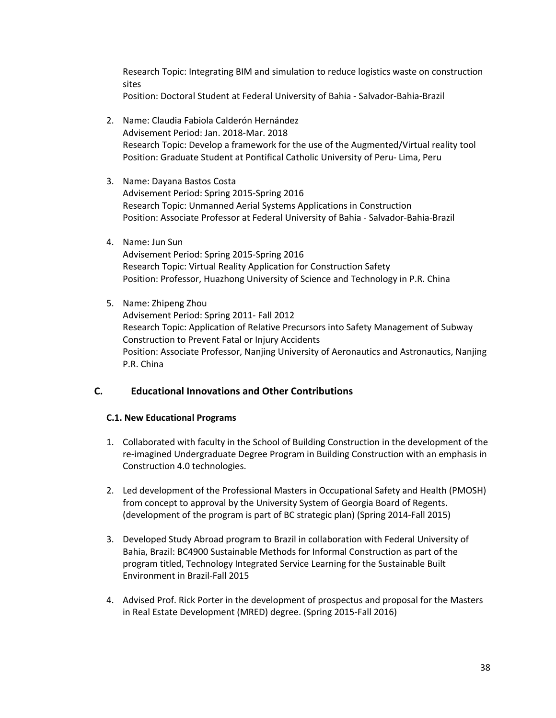Research Topic: Integrating BIM and simulation to reduce logistics waste on construction sites

Position: Doctoral Student at Federal University of Bahia - Salvador-Bahia-Brazil

- 2. Name: Claudia Fabiola Calderón Hernández Advisement Period: Jan. 2018-Mar. 2018 Research Topic: Develop a framework for the use of the Augmented/Virtual reality tool Position: Graduate Student at Pontifical Catholic University of Peru- Lima, Peru
- 3. Name: Dayana Bastos Costa Advisement Period: Spring 2015-Spring 2016 Research Topic: Unmanned Aerial Systems Applications in Construction Position: Associate Professor at Federal University of Bahia - Salvador-Bahia-Brazil
- 4. Name: Jun Sun

Advisement Period: Spring 2015-Spring 2016 Research Topic: Virtual Reality Application for Construction Safety Position: Professor, Huazhong University of Science and Technology in P.R. China

5. Name: Zhipeng Zhou

Advisement Period: Spring 2011- Fall 2012 Research Topic: Application of Relative Precursors into Safety Management of Subway Construction to Prevent Fatal or Injury Accidents Position: Associate Professor, Nanjing University of Aeronautics and Astronautics, Nanjing P.R. China

## **C. Educational Innovations and Other Contributions**

## **C.1. New Educational Programs**

- 1. Collaborated with faculty in the School of Building Construction in the development of the re-imagined Undergraduate Degree Program in Building Construction with an emphasis in Construction 4.0 technologies.
- 2. Led development of the Professional Masters in Occupational Safety and Health (PMOSH) from concept to approval by the University System of Georgia Board of Regents. (development of the program is part of BC strategic plan) (Spring 2014-Fall 2015)
- 3. Developed Study Abroad program to Brazil in collaboration with Federal University of Bahia, Brazil: BC4900 Sustainable Methods for Informal Construction as part of the program titled, Technology Integrated Service Learning for the Sustainable Built Environment in Brazil-Fall 2015
- 4. Advised Prof. Rick Porter in the development of prospectus and proposal for the Masters in Real Estate Development (MRED) degree. (Spring 2015-Fall 2016)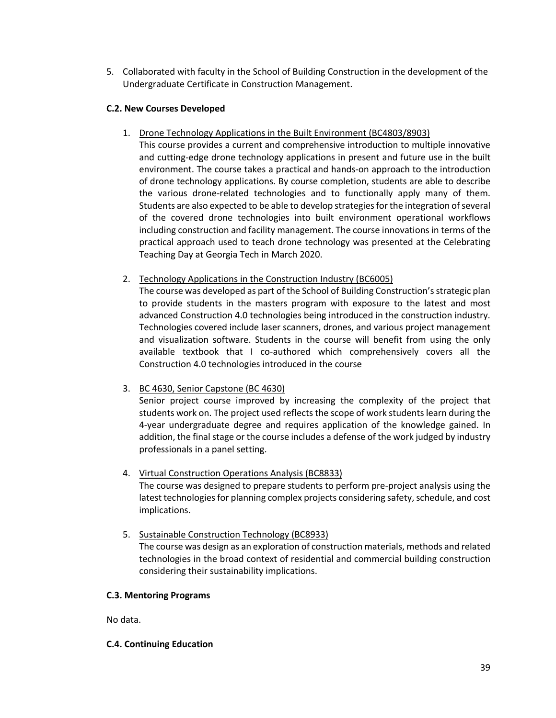5. Collaborated with faculty in the School of Building Construction in the development of the Undergraduate Certificate in Construction Management.

#### **C.2. New Courses Developed**

- 1. Drone Technology Applications in the Built Environment (BC4803/8903)
	- This course provides a current and comprehensive introduction to multiple innovative and cutting-edge drone technology applications in present and future use in the built environment. The course takes a practical and hands-on approach to the introduction of drone technology applications. By course completion, students are able to describe the various drone-related technologies and to functionally apply many of them. Students are also expected to be able to develop strategies for the integration of several of the covered drone technologies into built environment operational workflows including construction and facility management. The course innovations in terms of the practical approach used to teach drone technology was presented at the Celebrating Teaching Day at Georgia Tech in March 2020.
- 2. Technology Applications in the Construction Industry (BC6005)

The course was developed as part of the School of Building Construction's strategic plan to provide students in the masters program with exposure to the latest and most advanced Construction 4.0 technologies being introduced in the construction industry. Technologies covered include laser scanners, drones, and various project management and visualization software. Students in the course will benefit from using the only available textbook that I co-authored which comprehensively covers all the Construction 4.0 technologies introduced in the course

## 3. BC 4630, Senior Capstone (BC 4630)

Senior project course improved by increasing the complexity of the project that students work on. The project used reflects the scope of work students learn during the 4-year undergraduate degree and requires application of the knowledge gained. In addition, the final stage or the course includes a defense of the work judged by industry professionals in a panel setting.

#### 4. Virtual Construction Operations Analysis (BC8833)

The course was designed to prepare students to perform pre-project analysis using the latest technologies for planning complex projects considering safety, schedule, and cost implications.

5. Sustainable Construction Technology (BC8933)

The course was design as an exploration of construction materials, methods and related technologies in the broad context of residential and commercial building construction considering their sustainability implications.

#### **C.3. Mentoring Programs**

No data.

#### **C.4. Continuing Education**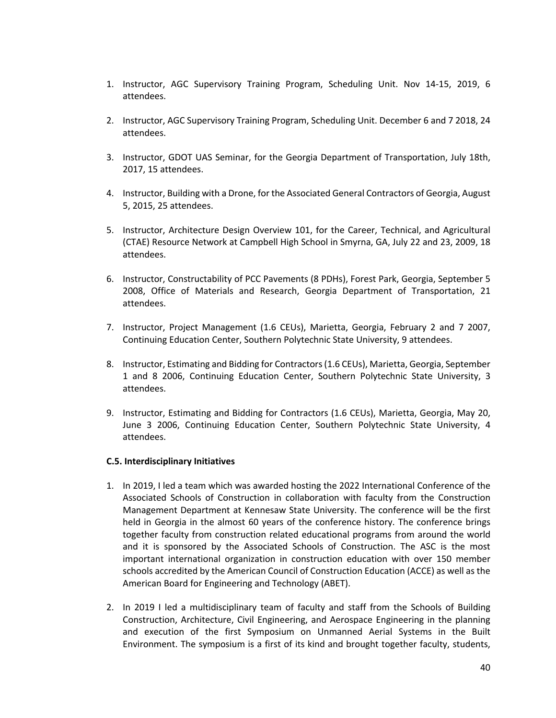- 1. Instructor, AGC Supervisory Training Program, Scheduling Unit. Nov 14-15, 2019, 6 attendees.
- 2. Instructor, AGC Supervisory Training Program, Scheduling Unit. December 6 and 7 2018, 24 attendees.
- 3. Instructor, GDOT UAS Seminar, for the Georgia Department of Transportation, July 18th, 2017, 15 attendees.
- 4. Instructor, Building with a Drone, for the Associated General Contractors of Georgia, August 5, 2015, 25 attendees.
- 5. Instructor, Architecture Design Overview 101, for the Career, Technical, and Agricultural (CTAE) Resource Network at Campbell High School in Smyrna, GA, July 22 and 23, 2009, 18 attendees.
- 6. Instructor, Constructability of PCC Pavements (8 PDHs), Forest Park, Georgia, September 5 2008, Office of Materials and Research, Georgia Department of Transportation, 21 attendees.
- 7. Instructor, Project Management (1.6 CEUs), Marietta, Georgia, February 2 and 7 2007, Continuing Education Center, Southern Polytechnic State University, 9 attendees.
- 8. Instructor, Estimating and Bidding for Contractors (1.6 CEUs), Marietta, Georgia, September 1 and 8 2006, Continuing Education Center, Southern Polytechnic State University, 3 attendees.
- 9. Instructor, Estimating and Bidding for Contractors (1.6 CEUs), Marietta, Georgia, May 20, June 3 2006, Continuing Education Center, Southern Polytechnic State University, 4 attendees.

#### **C.5. Interdisciplinary Initiatives**

- 1. In 2019, I led a team which was awarded hosting the 2022 International Conference of the Associated Schools of Construction in collaboration with faculty from the Construction Management Department at Kennesaw State University. The conference will be the first held in Georgia in the almost 60 years of the conference history. The conference brings together faculty from construction related educational programs from around the world and it is sponsored by the Associated Schools of Construction. The ASC is the most important international organization in construction education with over 150 member schools accredited by the American Council of Construction Education (ACCE) as well as the American Board for Engineering and Technology (ABET).
- 2. In 2019 I led a multidisciplinary team of faculty and staff from the Schools of Building Construction, Architecture, Civil Engineering, and Aerospace Engineering in the planning and execution of the first Symposium on Unmanned Aerial Systems in the Built Environment. The symposium is a first of its kind and brought together faculty, students,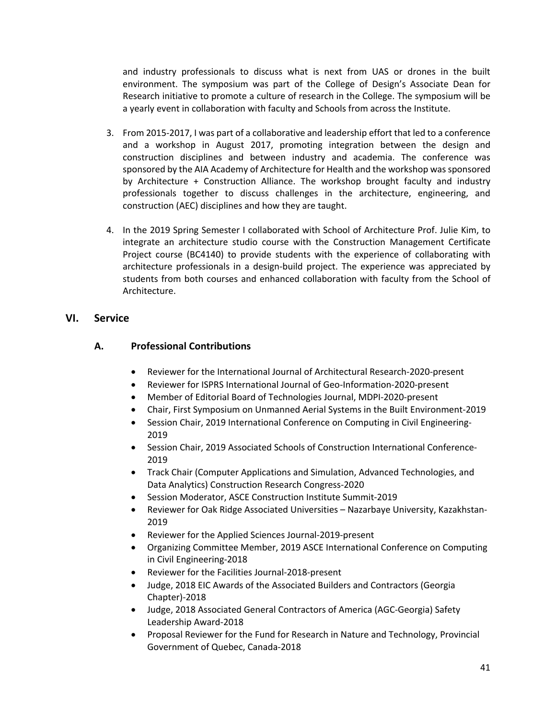and industry professionals to discuss what is next from UAS or drones in the built environment. The symposium was part of the College of Design's Associate Dean for Research initiative to promote a culture of research in the College. The symposium will be a yearly event in collaboration with faculty and Schools from across the Institute.

- 3. From 2015-2017, I was part of a collaborative and leadership effort that led to a conference and a workshop in August 2017, promoting integration between the design and construction disciplines and between industry and academia. The conference was sponsored by the AIA Academy of Architecture for Health and the workshop was sponsored by Architecture + Construction Alliance. The workshop brought faculty and industry professionals together to discuss challenges in the architecture, engineering, and construction (AEC) disciplines and how they are taught.
- 4. In the 2019 Spring Semester I collaborated with School of Architecture Prof. Julie Kim, to integrate an architecture studio course with the Construction Management Certificate Project course (BC4140) to provide students with the experience of collaborating with architecture professionals in a design-build project. The experience was appreciated by students from both courses and enhanced collaboration with faculty from the School of Architecture.

## **VI. Service**

## **A. Professional Contributions**

- Reviewer for the International Journal of Architectural Research-2020-present
- Reviewer for ISPRS International Journal of Geo-Information-2020-present
- Member of Editorial Board of Technologies Journal, MDPI-2020-present
- Chair, First Symposium on Unmanned Aerial Systems in the Built Environment-2019
- Session Chair, 2019 International Conference on Computing in Civil Engineering-2019
- Session Chair, 2019 Associated Schools of Construction International Conference-2019
- Track Chair (Computer Applications and Simulation, Advanced Technologies, and Data Analytics) Construction Research Congress-2020
- Session Moderator, ASCE Construction Institute Summit-2019
- Reviewer for Oak Ridge Associated Universities Nazarbaye University, Kazakhstan-2019
- Reviewer for the Applied Sciences Journal-2019-present
- Organizing Committee Member, 2019 ASCE International Conference on Computing in Civil Engineering-2018
- Reviewer for the Facilities Journal-2018-present
- Judge, 2018 EIC Awards of the Associated Builders and Contractors (Georgia Chapter)-2018
- Judge, 2018 Associated General Contractors of America (AGC-Georgia) Safety Leadership Award-2018
- Proposal Reviewer for the Fund for Research in Nature and Technology, Provincial Government of Quebec, Canada-2018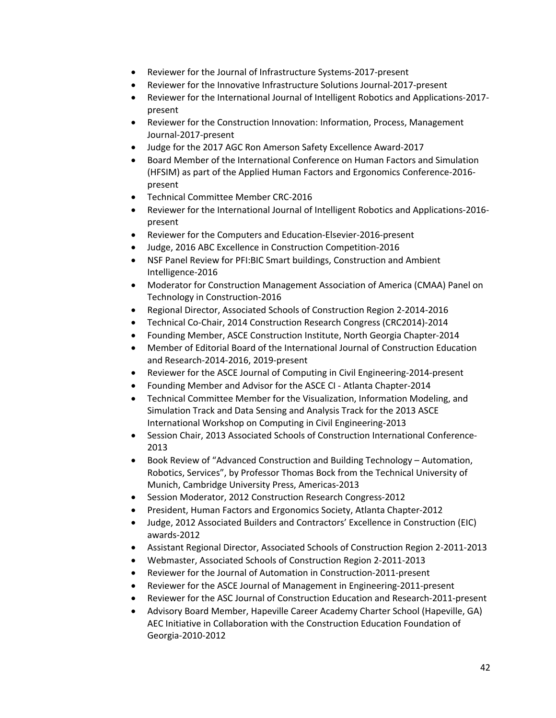- Reviewer for the Journal of Infrastructure Systems-2017-present
- Reviewer for the Innovative Infrastructure Solutions Journal-2017-present
- Reviewer for the International Journal of Intelligent Robotics and Applications-2017 present
- Reviewer for the Construction Innovation: Information, Process, Management Journal-2017-present
- Judge for the 2017 AGC Ron Amerson Safety Excellence Award-2017
- Board Member of the International Conference on Human Factors and Simulation (HFSIM) as part of the Applied Human Factors and Ergonomics Conference-2016 present
- Technical Committee Member CRC-2016
- Reviewer for the International Journal of Intelligent Robotics and Applications-2016 present
- Reviewer for the Computers and Education-Elsevier-2016-present
- Judge, 2016 ABC Excellence in Construction Competition-2016
- NSF Panel Review for PFI:BIC Smart buildings, Construction and Ambient Intelligence-2016
- Moderator for Construction Management Association of America (CMAA) Panel on Technology in Construction-2016
- Regional Director, Associated Schools of Construction Region 2-2014-2016
- Technical Co-Chair, 2014 Construction Research Congress (CRC2014)-2014
- Founding Member, ASCE Construction Institute, North Georgia Chapter-2014
- Member of Editorial Board of the International Journal of Construction Education and Research-2014-2016, 2019-present
- Reviewer for the ASCE Journal of Computing in Civil Engineering-2014-present
- Founding Member and Advisor for the ASCE CI Atlanta Chapter-2014
- Technical Committee Member for the Visualization, Information Modeling, and Simulation Track and Data Sensing and Analysis Track for the 2013 ASCE International Workshop on Computing in Civil Engineering-2013
- Session Chair, 2013 Associated Schools of Construction International Conference-2013
- Book Review of "Advanced Construction and Building Technology Automation, Robotics, Services", by Professor Thomas Bock from the Technical University of Munich, Cambridge University Press, Americas-2013
- Session Moderator, 2012 Construction Research Congress-2012
- President, Human Factors and Ergonomics Society, Atlanta Chapter-2012
- Judge, 2012 Associated Builders and Contractors' Excellence in Construction (EIC) awards-2012
- Assistant Regional Director, Associated Schools of Construction Region 2-2011-2013
- Webmaster, Associated Schools of Construction Region 2-2011-2013
- Reviewer for the Journal of Automation in Construction-2011-present
- Reviewer for the ASCE Journal of Management in Engineering-2011-present
- Reviewer for the ASC Journal of Construction Education and Research-2011-present
- Advisory Board Member, Hapeville Career Academy Charter School (Hapeville, GA) AEC Initiative in Collaboration with the Construction Education Foundation of Georgia-2010-2012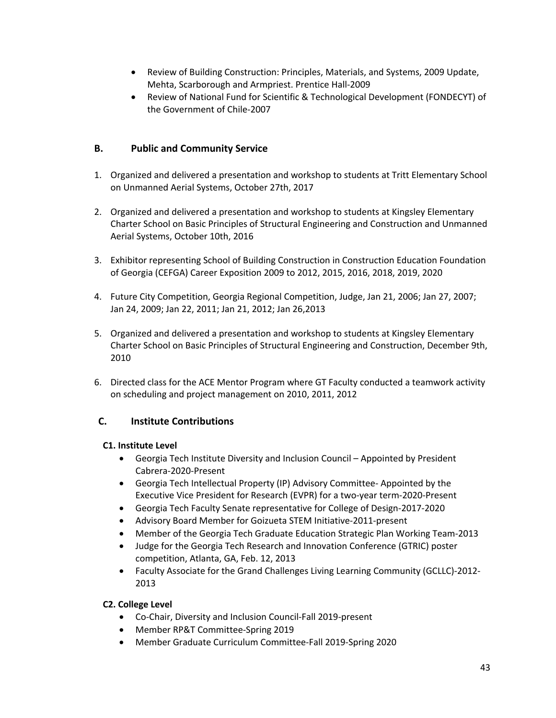- Review of Building Construction: Principles, Materials, and Systems, 2009 Update, Mehta, Scarborough and Armpriest. Prentice Hall-2009
- Review of National Fund for Scientific & Technological Development (FONDECYT) of the Government of Chile-2007

## **B. Public and Community Service**

- 1. Organized and delivered a presentation and workshop to students at Tritt Elementary School on Unmanned Aerial Systems, October 27th, 2017
- 2. Organized and delivered a presentation and workshop to students at Kingsley Elementary Charter School on Basic Principles of Structural Engineering and Construction and Unmanned Aerial Systems, October 10th, 2016
- 3. Exhibitor representing School of Building Construction in Construction Education Foundation of Georgia (CEFGA) Career Exposition 2009 to 2012, 2015, 2016, 2018, 2019, 2020
- 4. Future City Competition, Georgia Regional Competition, Judge, Jan 21, 2006; Jan 27, 2007; Jan 24, 2009; Jan 22, 2011; Jan 21, 2012; Jan 26,2013
- 5. Organized and delivered a presentation and workshop to students at Kingsley Elementary Charter School on Basic Principles of Structural Engineering and Construction, December 9th, 2010
- 6. Directed class for the ACE Mentor Program where GT Faculty conducted a teamwork activity on scheduling and project management on 2010, 2011, 2012

## **C. Institute Contributions**

#### **C1. Institute Level**

- Georgia Tech Institute Diversity and Inclusion Council Appointed by President Cabrera-2020-Present
- Georgia Tech Intellectual Property (IP) Advisory Committee- Appointed by the Executive Vice President for Research (EVPR) for a two-year term-2020-Present
- Georgia Tech Faculty Senate representative for College of Design-2017-2020
- Advisory Board Member for Goizueta STEM Initiative-2011-present
- Member of the Georgia Tech Graduate Education Strategic Plan Working Team-2013
- Judge for the Georgia Tech Research and Innovation Conference (GTRIC) poster competition, Atlanta, GA, Feb. 12, 2013
- Faculty Associate for the Grand Challenges Living Learning Community (GCLLC)-2012- 2013

#### **C2. College Level**

- Co-Chair, Diversity and Inclusion Council-Fall 2019-present
- Member RP&T Committee-Spring 2019
- Member Graduate Curriculum Committee-Fall 2019-Spring 2020